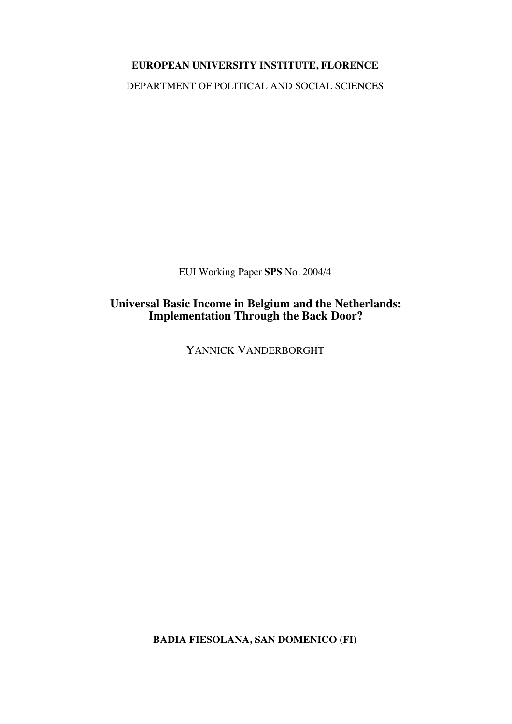# **EUROPEAN UNIVERSITY INSTITUTE, FLORENCE**

DEPARTMENT OF POLITICAL AND SOCIAL SCIENCES

EUI Working Paper **SPS** No. 2004/4

**Universal Basic Income in Belgium and the Netherlands: Implementation Through the Back Door?**

YANNICK VANDERBORGHT

**BADIA FIESOLANA, SAN DOMENICO (FI)**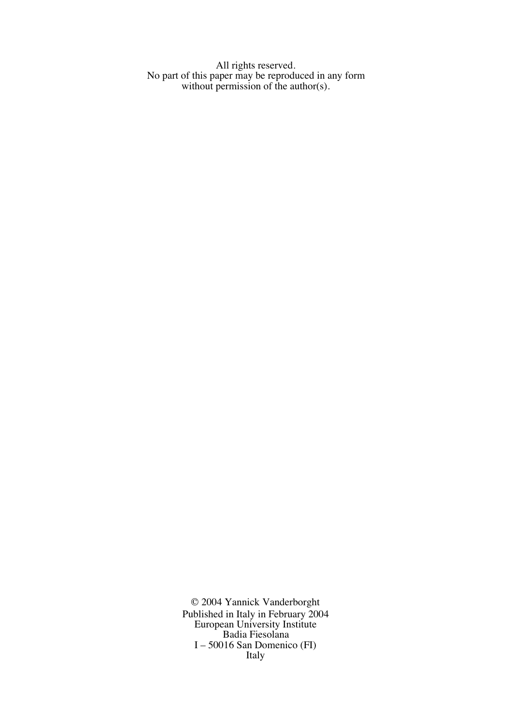All rights reserved. No part of this paper may be reproduced in any form without permission of the author(s).

> © 2004 Yannick Vanderborght Published in Italy in February 2004 European University Institute Badia Fiesolana I – 50016 San Domenico (FI) Italy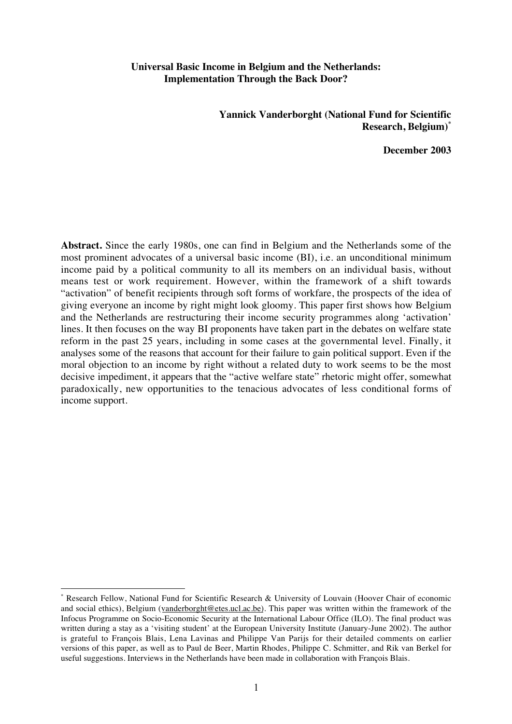# **Universal Basic Income in Belgium and the Netherlands: Implementation Through the Back Door?**

**Yannick Vanderborght (National Fund for Scientific Research, Belgium)\***

**December 2003**

**Abstract.** Since the early 1980s, one can find in Belgium and the Netherlands some of the most prominent advocates of a universal basic income (BI), i.e. an unconditional minimum income paid by a political community to all its members on an individual basis, without means test or work requirement. However, within the framework of a shift towards "activation" of benefit recipients through soft forms of workfare, the prospects of the idea of giving everyone an income by right might look gloomy. This paper first shows how Belgium and the Netherlands are restructuring their income security programmes along 'activation' lines. It then focuses on the way BI proponents have taken part in the debates on welfare state reform in the past 25 years, including in some cases at the governmental level. Finally, it analyses some of the reasons that account for their failure to gain political support. Even if the moral objection to an income by right without a related duty to work seems to be the most decisive impediment, it appears that the "active welfare state" rhetoric might offer, somewhat paradoxically, new opportunities to the tenacious advocates of less conditional forms of income support.

Research Fellow, National Fund for Scientific Research & University of Louvain (Hoover Chair of economic and social ethics), Belgium (vanderborght@etes.ucl.ac.be). This paper was written within the framework of the Infocus Programme on Socio-Economic Security at the International Labour Office (ILO). The final product was written during a stay as a 'visiting student' at the European University Institute (January-June 2002). The author is grateful to François Blais, Lena Lavinas and Philippe Van Parijs for their detailed comments on earlier versions of this paper, as well as to Paul de Beer, Martin Rhodes, Philippe C. Schmitter, and Rik van Berkel for useful suggestions. Interviews in the Netherlands have been made in collaboration with François Blais.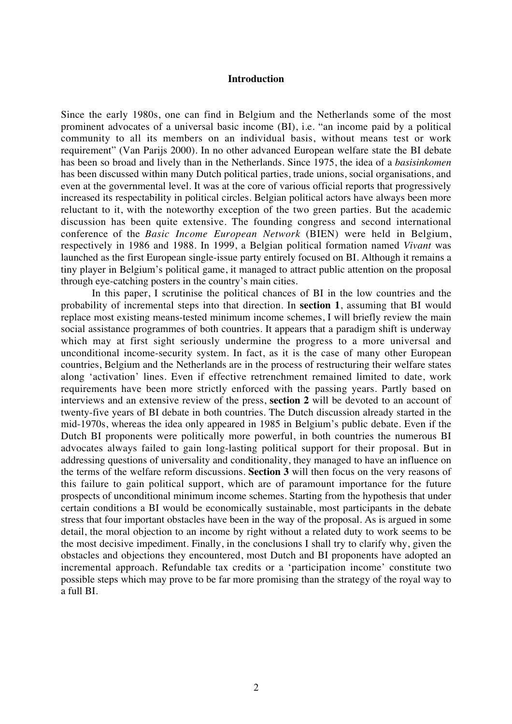# **Introduction**

Since the early 1980s, one can find in Belgium and the Netherlands some of the most prominent advocates of a universal basic income (BI), i.e. "an income paid by a political community to all its members on an individual basis, without means test or work requirement" (Van Parijs 2000). In no other advanced European welfare state the BI debate has been so broad and lively than in the Netherlands. Since 1975, the idea of a *basisinkomen* has been discussed within many Dutch political parties, trade unions, social organisations, and even at the governmental level. It was at the core of various official reports that progressively increased its respectability in political circles. Belgian political actors have always been more reluctant to it, with the noteworthy exception of the two green parties. But the academic discussion has been quite extensive. The founding congress and second international conference of the *Basic Income European Network* (BIEN) were held in Belgium, respectively in 1986 and 1988. In 1999, a Belgian political formation named *Vivant* was launched as the first European single-issue party entirely focused on BI. Although it remains a tiny player in Belgium's political game, it managed to attract public attention on the proposal through eye-catching posters in the country's main cities.

In this paper, I scrutinise the political chances of BI in the low countries and the probability of incremental steps into that direction. In **section 1**, assuming that BI would replace most existing means-tested minimum income schemes, I will briefly review the main social assistance programmes of both countries. It appears that a paradigm shift is underway which may at first sight seriously undermine the progress to a more universal and unconditional income-security system. In fact, as it is the case of many other European countries, Belgium and the Netherlands are in the process of restructuring their welfare states along 'activation' lines. Even if effective retrenchment remained limited to date, work requirements have been more strictly enforced with the passing years. Partly based on interviews and an extensive review of the press, **section 2** will be devoted to an account of twenty-five years of BI debate in both countries. The Dutch discussion already started in the mid-1970s, whereas the idea only appeared in 1985 in Belgium's public debate. Even if the Dutch BI proponents were politically more powerful, in both countries the numerous BI advocates always failed to gain long-lasting political support for their proposal. But in addressing questions of universality and conditionality, they managed to have an influence on the terms of the welfare reform discussions. **Section 3** will then focus on the very reasons of this failure to gain political support, which are of paramount importance for the future prospects of unconditional minimum income schemes. Starting from the hypothesis that under certain conditions a BI would be economically sustainable, most participants in the debate stress that four important obstacles have been in the way of the proposal. As is argued in some detail, the moral objection to an income by right without a related duty to work seems to be the most decisive impediment. Finally, in the conclusions I shall try to clarify why, given the obstacles and objections they encountered, most Dutch and BI proponents have adopted an incremental approach. Refundable tax credits or a 'participation income' constitute two possible steps which may prove to be far more promising than the strategy of the royal way to a full BI.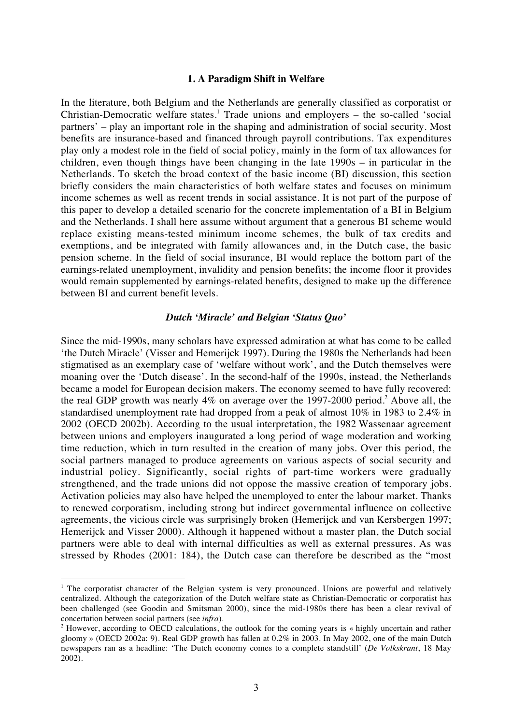# **1. A Paradigm Shift in Welfare**

In the literature, both Belgium and the Netherlands are generally classified as corporatist or Christian-Democratic welfare states.<sup>1</sup> Trade unions and employers  $-$  the so-called 'social partners' – play an important role in the shaping and administration of social security. Most benefits are insurance-based and financed through payroll contributions. Tax expenditures play only a modest role in the field of social policy, mainly in the form of tax allowances for children, even though things have been changing in the late 1990s – in particular in the Netherlands. To sketch the broad context of the basic income (BI) discussion, this section briefly considers the main characteristics of both welfare states and focuses on minimum income schemes as well as recent trends in social assistance. It is not part of the purpose of this paper to develop a detailed scenario for the concrete implementation of a BI in Belgium and the Netherlands. I shall here assume without argument that a generous BI scheme would replace existing means-tested minimum income schemes, the bulk of tax credits and exemptions, and be integrated with family allowances and, in the Dutch case, the basic pension scheme. In the field of social insurance, BI would replace the bottom part of the earnings-related unemployment, invalidity and pension benefits; the income floor it provides would remain supplemented by earnings-related benefits, designed to make up the difference between BI and current benefit levels.

# *Dutch 'Miracle' and Belgian 'Status Quo'*

Since the mid-1990s, many scholars have expressed admiration at what has come to be called 'the Dutch Miracle' (Visser and Hemerijck 1997). During the 1980s the Netherlands had been stigmatised as an exemplary case of 'welfare without work', and the Dutch themselves were moaning over the 'Dutch disease'. In the second-half of the 1990s, instead, the Netherlands became a model for European decision makers. The economy seemed to have fully recovered: the real GDP growth was nearly  $4\%$  on average over the 1997-2000 period.<sup>2</sup> Above all, the standardised unemployment rate had dropped from a peak of almost 10% in 1983 to 2.4% in 2002 (OECD 2002b). According to the usual interpretation, the 1982 Wassenaar agreement between unions and employers inaugurated a long period of wage moderation and working time reduction, which in turn resulted in the creation of many jobs. Over this period, the social partners managed to produce agreements on various aspects of social security and industrial policy. Significantly, social rights of part-time workers were gradually strengthened, and the trade unions did not oppose the massive creation of temporary jobs. Activation policies may also have helped the unemployed to enter the labour market. Thanks to renewed corporatism, including strong but indirect governmental influence on collective agreements, the vicious circle was surprisingly broken (Hemerijck and van Kersbergen 1997; Hemerijck and Visser 2000). Although it happened without a master plan, the Dutch social partners were able to deal with internal difficulties as well as external pressures. As was stressed by Rhodes (2001: 184), the Dutch case can therefore be described as the "most

<sup>&</sup>lt;sup>1</sup> The corporatist character of the Belgian system is very pronounced. Unions are powerful and relatively centralized. Although the categorization of the Dutch welfare state as Christian-Democratic or corporatist has been challenged (see Goodin and Smitsman 2000), since the mid-1980s there has been a clear revival of concertation between social partners (see *infra*).

<sup>&</sup>lt;sup>2</sup> However, according to OECD calculations, the outlook for the coming years is « highly uncertain and rather gloomy » (OECD 2002a: 9). Real GDP growth has fallen at 0.2% in 2003. In May 2002, one of the main Dutch newspapers ran as a headline: 'The Dutch economy comes to a complete standstill' (*De Volkskrant*, 18 May 2002).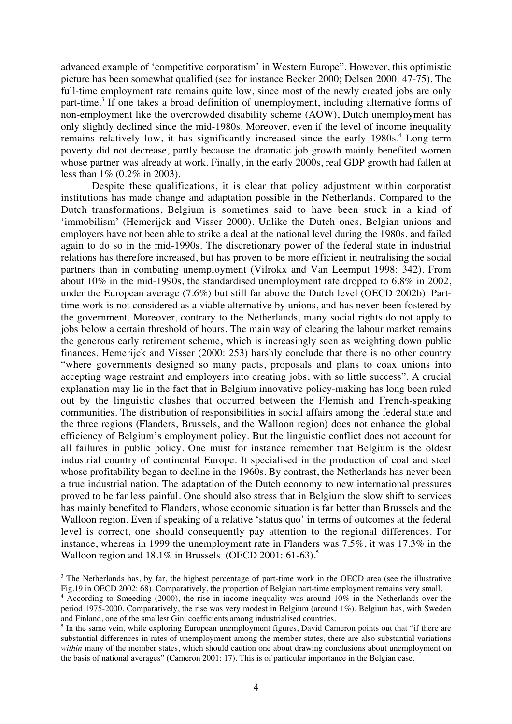advanced example of 'competitive corporatism' in Western Europe". However, this optimistic picture has been somewhat qualified (see for instance Becker 2000; Delsen 2000: 47-75). The full-time employment rate remains quite low, since most of the newly created jobs are only part-time.<sup>3</sup> If one takes a broad definition of unemployment, including alternative forms of non-employment like the overcrowded disability scheme (AOW), Dutch unemployment has only slightly declined since the mid-1980s. Moreover, even if the level of income inequality remains relatively low, it has significantly increased since the early 1980s.<sup>4</sup> Long-term poverty did not decrease, partly because the dramatic job growth mainly benefited women whose partner was already at work. Finally, in the early 2000s, real GDP growth had fallen at less than 1% (0.2% in 2003).

Despite these qualifications, it is clear that policy adjustment within corporatist institutions has made change and adaptation possible in the Netherlands. Compared to the Dutch transformations, Belgium is sometimes said to have been stuck in a kind of 'immobilism' (Hemerijck and Visser 2000). Unlike the Dutch ones, Belgian unions and employers have not been able to strike a deal at the national level during the 1980s, and failed again to do so in the mid-1990s. The discretionary power of the federal state in industrial relations has therefore increased, but has proven to be more efficient in neutralising the social partners than in combating unemployment (Vilrokx and Van Leemput 1998: 342). From about 10% in the mid-1990s, the standardised unemployment rate dropped to 6.8% in 2002, under the European average (7.6%) but still far above the Dutch level (OECD 2002b). Parttime work is not considered as a viable alternative by unions, and has never been fostered by the government. Moreover, contrary to the Netherlands, many social rights do not apply to jobs below a certain threshold of hours. The main way of clearing the labour market remains the generous early retirement scheme, which is increasingly seen as weighting down public finances. Hemerijck and Visser (2000: 253) harshly conclude that there is no other country "where governments designed so many pacts, proposals and plans to coax unions into accepting wage restraint and employers into creating jobs, with so little success". A crucial explanation may lie in the fact that in Belgium innovative policy-making has long been ruled out by the linguistic clashes that occurred between the Flemish and French-speaking communities. The distribution of responsibilities in social affairs among the federal state and the three regions (Flanders, Brussels, and the Walloon region) does not enhance the global efficiency of Belgium's employment policy. But the linguistic conflict does not account for all failures in public policy. One must for instance remember that Belgium is the oldest industrial country of continental Europe. It specialised in the production of coal and steel whose profitability began to decline in the 1960s. By contrast, the Netherlands has never been a true industrial nation. The adaptation of the Dutch economy to new international pressures proved to be far less painful. One should also stress that in Belgium the slow shift to services has mainly benefited to Flanders, whose economic situation is far better than Brussels and the Walloon region. Even if speaking of a relative 'status quo' in terms of outcomes at the federal level is correct, one should consequently pay attention to the regional differences. For instance, whereas in 1999 the unemployment rate in Flanders was 7.5%, it was 17.3% in the Walloon region and  $18.1\%$  in Brussels (OECD 2001: 61-63).<sup>5</sup>

<sup>&</sup>lt;sup>3</sup> The Netherlands has, by far, the highest percentage of part-time work in the OECD area (see the illustrative Fig.19 in OECD 2002: 68). Comparatively, the proportion of Belgian part-time employment remains very small.

<sup>&</sup>lt;sup>4</sup> According to Smeeding (2000), the rise in income inequality was around  $10\%$  in the Netherlands over the period 1975-2000. Comparatively, the rise was very modest in Belgium (around 1%). Belgium has, with Sweden and Finland, one of the smallest Gini coefficients among industrialised countries.

<sup>&</sup>lt;sup>5</sup> In the same vein, while exploring European unemployment figures, David Cameron points out that "if there are substantial differences in rates of unemployment among the member states, there are also substantial variations *within* many of the member states, which should caution one about drawing conclusions about unemployment on the basis of national averages" (Cameron 2001: 17). This is of particular importance in the Belgian case.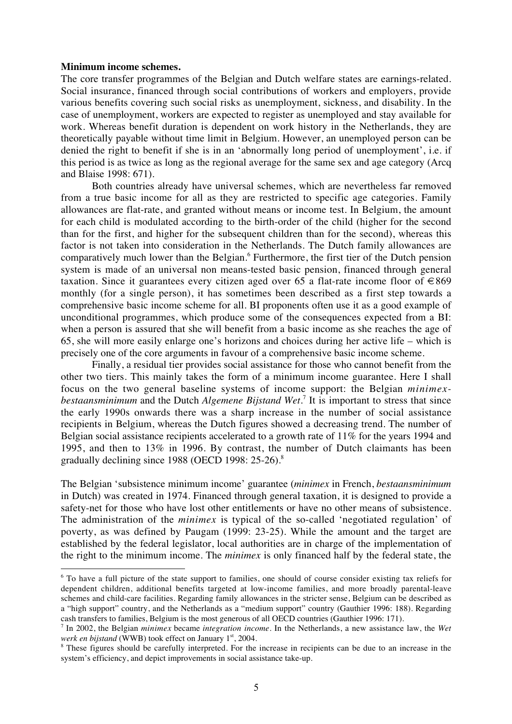#### **Minimum income schemes.**

 $\overline{a}$ 

The core transfer programmes of the Belgian and Dutch welfare states are earnings-related. Social insurance, financed through social contributions of workers and employers, provide various benefits covering such social risks as unemployment, sickness, and disability. In the case of unemployment, workers are expected to register as unemployed and stay available for work. Whereas benefit duration is dependent on work history in the Netherlands, they are theoretically payable without time limit in Belgium. However, an unemployed person can be denied the right to benefit if she is in an 'abnormally long period of unemployment', i.e. if this period is as twice as long as the regional average for the same sex and age category (Arcq and Blaise 1998: 671).

Both countries already have universal schemes, which are nevertheless far removed from a true basic income for all as they are restricted to specific age categories. Family allowances are flat-rate, and granted without means or income test. In Belgium, the amount for each child is modulated according to the birth-order of the child (higher for the second than for the first, and higher for the subsequent children than for the second), whereas this factor is not taken into consideration in the Netherlands. The Dutch family allowances are comparatively much lower than the Belgian.<sup>6</sup> Furthermore, the first tier of the Dutch pension system is made of an universal non means-tested basic pension, financed through general taxation. Since it guarantees every citizen aged over 65 a flat-rate income floor of  $\in$ 869 monthly (for a single person), it has sometimes been described as a first step towards a comprehensive basic income scheme for all. BI proponents often use it as a good example of unconditional programmes, which produce some of the consequences expected from a BI: when a person is assured that she will benefit from a basic income as she reaches the age of 65, she will more easily enlarge one's horizons and choices during her active life – which is precisely one of the core arguments in favour of a comprehensive basic income scheme.

Finally, a residual tier provides social assistance for those who cannot benefit from the other two tiers. This mainly takes the form of a minimum income guarantee. Here I shall focus on the two general baseline systems of income support: the Belgian *minimexbestaansminimum* and the Dutch *Algemene Bijstand Wet*. <sup>7</sup> It is important to stress that since the early 1990s onwards there was a sharp increase in the number of social assistance recipients in Belgium, whereas the Dutch figures showed a decreasing trend. The number of Belgian social assistance recipients accelerated to a growth rate of 11% for the years 1994 and 1995, and then to 13% in 1996. By contrast, the number of Dutch claimants has been gradually declining since 1988 (OECD 1998: 25-26).<sup>8</sup>

The Belgian 'subsistence minimum income' guarantee (*minimex* in French, *bestaansminimum* in Dutch) was created in 1974. Financed through general taxation, it is designed to provide a safety-net for those who have lost other entitlements or have no other means of subsistence. The administration of the *minimex* is typical of the so-called 'negotiated regulation' of poverty, as was defined by Paugam (1999: 23-25). While the amount and the target are established by the federal legislator, local authorities are in charge of the implementation of the right to the minimum income. The *minimex* is only financed half by the federal state, the

<sup>&</sup>lt;sup>6</sup> To have a full picture of the state support to families, one should of course consider existing tax reliefs for dependent children, additional benefits targeted at low-income families, and more broadly parental-leave schemes and child-care facilities. Regarding family allowances in the stricter sense, Belgium can be described as a "high support" country, and the Netherlands as a "medium support" country (Gauthier 1996: 188). Regarding cash transfers to families, Belgium is the most generous of all OECD countries (Gauthier 1996: 171).

<sup>7</sup> In 2002, the Belgian *minimex* became *integration income*. In the Netherlands, a new assistance law, the *Wet werk en bijstand* (WWB) took effect on January 1<sup>st</sup>, 2004.

<sup>&</sup>lt;sup>8</sup> These figures should be carefully interpreted. For the increase in recipients can be due to an increase in the system's efficiency, and depict improvements in social assistance take-up.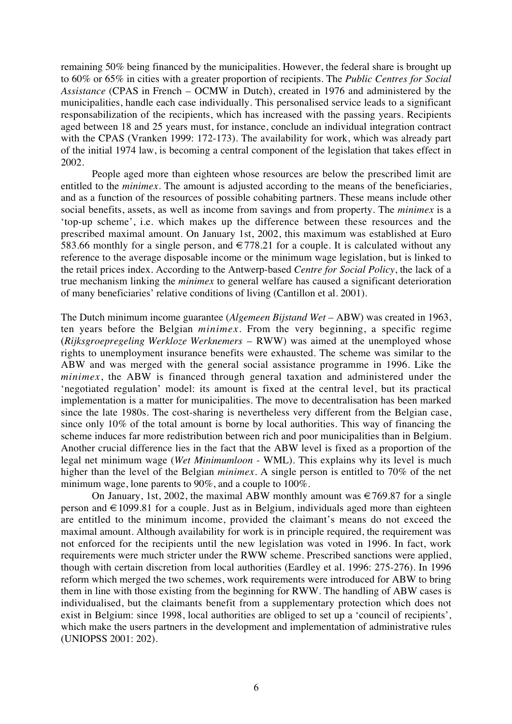remaining 50% being financed by the municipalities. However, the federal share is brought up to 60% or 65% in cities with a greater proportion of recipients. The *Public Centres for Social Assistance* (CPAS in French *–* OCMW in Dutch), created in 1976 and administered by the municipalities, handle each case individually. This personalised service leads to a significant responsabilization of the recipients, which has increased with the passing years. Recipients aged between 18 and 25 years must, for instance, conclude an individual integration contract with the CPAS (Vranken 1999: 172-173). The availability for work, which was already part of the initial 1974 law, is becoming a central component of the legislation that takes effect in 2002.

People aged more than eighteen whose resources are below the prescribed limit are entitled to the *minimex*. The amount is adjusted according to the means of the beneficiaries, and as a function of the resources of possible cohabiting partners. These means include other social benefits, assets, as well as income from savings and from property. The *minimex* is a 'top-up scheme', i.e. which makes up the difference between these resources and the prescribed maximal amount. On January 1st, 2002, this maximum was established at Euro 583.66 monthly for a single person, and  $\epsilon$ 778.21 for a couple. It is calculated without any reference to the average disposable income or the minimum wage legislation, but is linked to the retail prices index. According to the Antwerp-based *Centre for Social Policy*, the lack of a true mechanism linking the *minimex* to general welfare has caused a significant deterioration of many beneficiaries' relative conditions of living (Cantillon et al. 2001).

The Dutch minimum income guarantee (*Algemeen Bijstand Wet –* ABW) was created in 1963, ten years before the Belgian *minimex*. From the very beginning, a specific regime (*Rijksgroepregeling Werkloze Werknemers* – RWW) was aimed at the unemployed whose rights to unemployment insurance benefits were exhausted. The scheme was similar to the ABW and was merged with the general social assistance programme in 1996. Like the *minimex*, the ABW is financed through general taxation and administered under the 'negotiated regulation' model: its amount is fixed at the central level, but its practical implementation is a matter for municipalities. The move to decentralisation has been marked since the late 1980s. The cost-sharing is nevertheless very different from the Belgian case, since only 10% of the total amount is borne by local authorities. This way of financing the scheme induces far more redistribution between rich and poor municipalities than in Belgium. Another crucial difference lies in the fact that the ABW level is fixed as a proportion of the legal net minimum wage (*Wet Minimumloon -* WML). This explains why its level is much higher than the level of the Belgian *minimex*. A single person is entitled to 70% of the net minimum wage, lone parents to 90%, and a couple to 100%.

On January, 1st, 2002, the maximal ABW monthly amount was  $\epsilon$  769.87 for a single person and  $\in$  1099.81 for a couple. Just as in Belgium, individuals aged more than eighteen are entitled to the minimum income, provided the claimant's means do not exceed the maximal amount. Although availability for work is in principle required, the requirement was not enforced for the recipients until the new legislation was voted in 1996. In fact, work requirements were much stricter under the RWW scheme. Prescribed sanctions were applied, though with certain discretion from local authorities (Eardley et al. 1996: 275-276). In 1996 reform which merged the two schemes, work requirements were introduced for ABW to bring them in line with those existing from the beginning for RWW. The handling of ABW cases is individualised, but the claimants benefit from a supplementary protection which does not exist in Belgium: since 1998, local authorities are obliged to set up a 'council of recipients', which make the users partners in the development and implementation of administrative rules (UNIOPSS 2001: 202).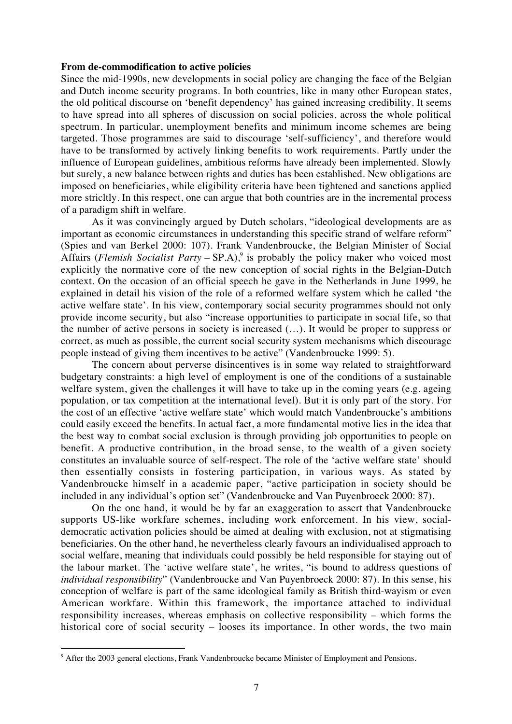# **From de-commodification to active policies**

Since the mid-1990s, new developments in social policy are changing the face of the Belgian and Dutch income security programs. In both countries, like in many other European states, the old political discourse on 'benefit dependency' has gained increasing credibility. It seems to have spread into all spheres of discussion on social policies, across the whole political spectrum. In particular, unemployment benefits and minimum income schemes are being targeted. Those programmes are said to discourage 'self-sufficiency', and therefore would have to be transformed by actively linking benefits to work requirements. Partly under the influence of European guidelines, ambitious reforms have already been implemented. Slowly but surely, a new balance between rights and duties has been established. New obligations are imposed on beneficiaries, while eligibility criteria have been tightened and sanctions applied more stricltly. In this respect, one can argue that both countries are in the incremental process of a paradigm shift in welfare.

As it was convincingly argued by Dutch scholars, "ideological developments are as important as economic circumstances in understanding this specific strand of welfare reform" (Spies and van Berkel 2000: 107). Frank Vandenbroucke, the Belgian Minister of Social Affairs (*Flemish Socialist Party* – SP.A),<sup>9</sup> is probably the policy maker who voiced most explicitly the normative core of the new conception of social rights in the Belgian-Dutch context. On the occasion of an official speech he gave in the Netherlands in June 1999, he explained in detail his vision of the role of a reformed welfare system which he called 'the active welfare state'. In his view, contemporary social security programmes should not only provide income security, but also "increase opportunities to participate in social life, so that the number of active persons in society is increased (…). It would be proper to suppress or correct, as much as possible, the current social security system mechanisms which discourage people instead of giving them incentives to be active" (Vandenbroucke 1999: 5).

The concern about perverse disincentives is in some way related to straightforward budgetary constraints: a high level of employment is one of the conditions of a sustainable welfare system, given the challenges it will have to take up in the coming years (e.g. ageing population, or tax competition at the international level). But it is only part of the story. For the cost of an effective 'active welfare state' which would match Vandenbroucke's ambitions could easily exceed the benefits. In actual fact, a more fundamental motive lies in the idea that the best way to combat social exclusion is through providing job opportunities to people on benefit. A productive contribution, in the broad sense, to the wealth of a given society constitutes an invaluable source of self-respect. The role of the 'active welfare state' should then essentially consists in fostering participation, in various ways. As stated by Vandenbroucke himself in a academic paper, "active participation in society should be included in any individual's option set" (Vandenbroucke and Van Puyenbroeck 2000: 87).

On the one hand, it would be by far an exaggeration to assert that Vandenbroucke supports US-like workfare schemes, including work enforcement. In his view, socialdemocratic activation policies should be aimed at dealing with exclusion, not at stigmatising beneficiaries. On the other hand, he nevertheless clearly favours an individualised approach to social welfare, meaning that individuals could possibly be held responsible for staying out of the labour market. The 'active welfare state', he writes, "is bound to address questions of *individual responsibility*" (Vandenbroucke and Van Puyenbroeck 2000: 87). In this sense, his conception of welfare is part of the same ideological family as British third-wayism or even American workfare. Within this framework, the importance attached to individual responsibility increases, whereas emphasis on collective responsibility – which forms the historical core of social security – looses its importance. In other words, the two main

<sup>&</sup>lt;sup>9</sup> After the 2003 general elections, Frank Vandenbroucke became Minister of Employment and Pensions.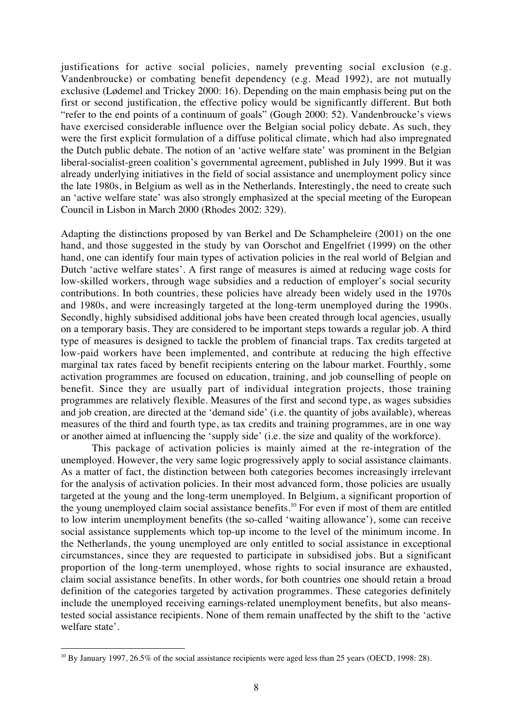justifications for active social policies, namely preventing social exclusion (e.g. Vandenbroucke) or combating benefit dependency (e.g. Mead 1992), are not mutually exclusive (Lødemel and Trickey 2000: 16). Depending on the main emphasis being put on the first or second justification, the effective policy would be significantly different. But both "refer to the end points of a continuum of goals" (Gough 2000: 52). Vandenbroucke's views have exercised considerable influence over the Belgian social policy debate. As such, they were the first explicit formulation of a diffuse political climate, which had also impregnated the Dutch public debate. The notion of an 'active welfare state' was prominent in the Belgian liberal-socialist-green coalition's governmental agreement, published in July 1999. But it was already underlying initiatives in the field of social assistance and unemployment policy since the late 1980s, in Belgium as well as in the Netherlands. Interestingly, the need to create such an 'active welfare state' was also strongly emphasized at the special meeting of the European Council in Lisbon in March 2000 (Rhodes 2002: 329).

Adapting the distinctions proposed by van Berkel and De Schampheleire (2001) on the one hand, and those suggested in the study by van Oorschot and Engelfriet (1999) on the other hand, one can identify four main types of activation policies in the real world of Belgian and Dutch 'active welfare states'. A first range of measures is aimed at reducing wage costs for low-skilled workers, through wage subsidies and a reduction of employer's social security contributions. In both countries, these policies have already been widely used in the 1970s and 1980s, and were increasingly targeted at the long-term unemployed during the 1990s. Secondly, highly subsidised additional jobs have been created through local agencies, usually on a temporary basis. They are considered to be important steps towards a regular job. A third type of measures is designed to tackle the problem of financial traps. Tax credits targeted at low-paid workers have been implemented, and contribute at reducing the high effective marginal tax rates faced by benefit recipients entering on the labour market. Fourthly, some activation programmes are focused on education, training, and job counselling of people on benefit. Since they are usually part of individual integration projects, those training programmes are relatively flexible. Measures of the first and second type, as wages subsidies and job creation, are directed at the 'demand side' (i.e. the quantity of jobs available), whereas measures of the third and fourth type, as tax credits and training programmes, are in one way or another aimed at influencing the 'supply side' (i.e. the size and quality of the workforce).

This package of activation policies is mainly aimed at the re-integration of the unemployed. However, the very same logic progressively apply to social assistance claimants. As a matter of fact, the distinction between both categories becomes increasingly irrelevant for the analysis of activation policies. In their most advanced form, those policies are usually targeted at the young and the long-term unemployed. In Belgium, a significant proportion of the young unemployed claim social assistance benefits.10 For even if most of them are entitled to low interim unemployment benefits (the so-called 'waiting allowance'), some can receive social assistance supplements which top-up income to the level of the minimum income. In the Netherlands, the young unemployed are only entitled to social assistance in exceptional circumstances, since they are requested to participate in subsidised jobs. But a significant proportion of the long-term unemployed, whose rights to social insurance are exhausted, claim social assistance benefits. In other words, for both countries one should retain a broad definition of the categories targeted by activation programmes. These categories definitely include the unemployed receiving earnings-related unemployment benefits, but also meanstested social assistance recipients. None of them remain unaffected by the shift to the 'active welfare state'.

<sup>&</sup>lt;sup>10</sup> By January 1997, 26.5% of the social assistance recipients were aged less than 25 years (OECD, 1998: 28).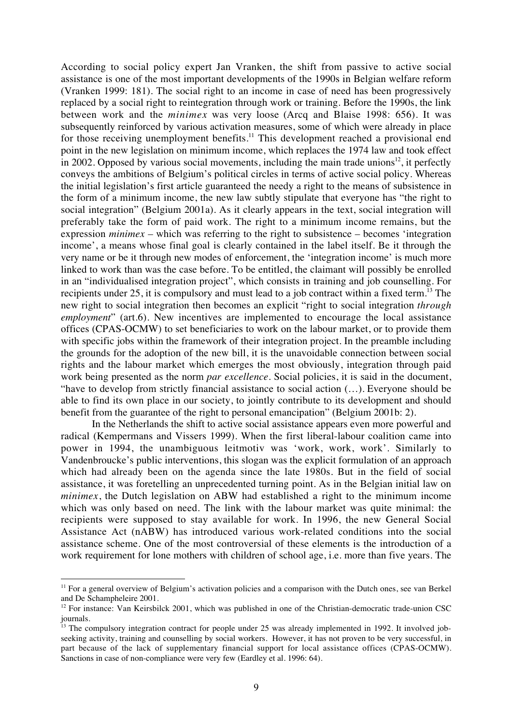According to social policy expert Jan Vranken, the shift from passive to active social assistance is one of the most important developments of the 1990s in Belgian welfare reform (Vranken 1999: 181). The social right to an income in case of need has been progressively replaced by a social right to reintegration through work or training. Before the 1990s, the link between work and the *minimex* was very loose (Arcq and Blaise 1998: 656). It was subsequently reinforced by various activation measures, some of which were already in place for those receiving unemployment benefits.<sup>11</sup> This development reached a provisional end point in the new legislation on minimum income, which replaces the 1974 law and took effect in 2002. Opposed by various social movements, including the main trade unions<sup>12</sup>, it perfectly conveys the ambitions of Belgium's political circles in terms of active social policy. Whereas the initial legislation's first article guaranteed the needy a right to the means of subsistence in the form of a minimum income, the new law subtly stipulate that everyone has "the right to social integration" (Belgium 2001a). As it clearly appears in the text, social integration will preferably take the form of paid work. The right to a minimum income remains, but the expression *minimex* – which was referring to the right to subsistence – becomes 'integration income', a means whose final goal is clearly contained in the label itself. Be it through the very name or be it through new modes of enforcement, the 'integration income' is much more linked to work than was the case before. To be entitled, the claimant will possibly be enrolled in an "individualised integration project", which consists in training and job counselling. For recipients under 25, it is compulsory and must lead to a job contract within a fixed term.13 The new right to social integration then becomes an explicit "right to social integration *through employment*" (art.6). New incentives are implemented to encourage the local assistance offices (CPAS-OCMW) to set beneficiaries to work on the labour market, or to provide them with specific jobs within the framework of their integration project. In the preamble including the grounds for the adoption of the new bill, it is the unavoidable connection between social rights and the labour market which emerges the most obviously, integration through paid work being presented as the norm *par excellence*. Social policies, it is said in the document, "have to develop from strictly financial assistance to social action (…). Everyone should be able to find its own place in our society, to jointly contribute to its development and should benefit from the guarantee of the right to personal emancipation" (Belgium 2001b: 2).

In the Netherlands the shift to active social assistance appears even more powerful and radical (Kempermans and Vissers 1999). When the first liberal-labour coalition came into power in 1994, the unambiguous leitmotiv was 'work, work, work'. Similarly to Vandenbroucke's public interventions, this slogan was the explicit formulation of an approach which had already been on the agenda since the late 1980s. But in the field of social assistance, it was foretelling an unprecedented turning point. As in the Belgian initial law on *minimex*, the Dutch legislation on ABW had established a right to the minimum income which was only based on need. The link with the labour market was quite minimal: the recipients were supposed to stay available for work. In 1996, the new General Social Assistance Act (nABW) has introduced various work-related conditions into the social assistance scheme. One of the most controversial of these elements is the introduction of a work requirement for lone mothers with children of school age, i.e. more than five years. The

 $11$  For a general overview of Belgium's activation policies and a comparison with the Dutch ones, see van Berkel and De Schampheleire 2001.

 $12$  For instance: Van Keirsbilck 2001, which was published in one of the Christian-democratic trade-union CSC journals.

The compulsory integration contract for people under 25 was already implemented in 1992. It involved jobseeking activity, training and counselling by social workers. However, it has not proven to be very successful, in part because of the lack of supplementary financial support for local assistance offices (CPAS-OCMW). Sanctions in case of non-compliance were very few (Eardley et al. 1996: 64).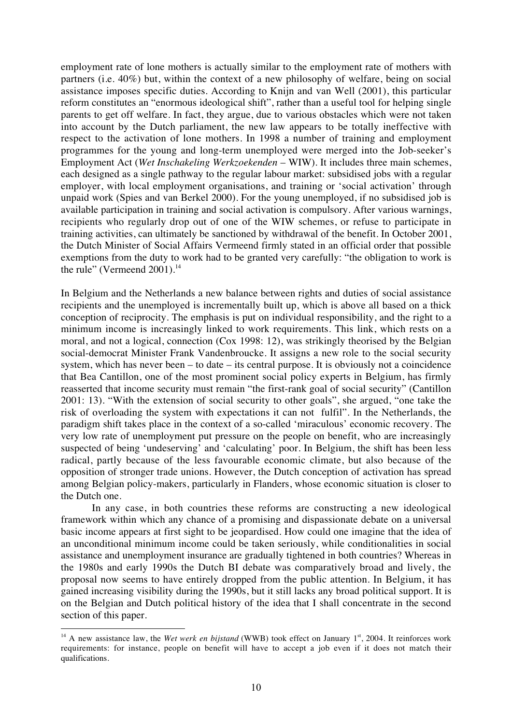employment rate of lone mothers is actually similar to the employment rate of mothers with partners (i.e. 40%) but, within the context of a new philosophy of welfare, being on social assistance imposes specific duties. According to Knijn and van Well (2001), this particular reform constitutes an "enormous ideological shift", rather than a useful tool for helping single parents to get off welfare. In fact, they argue, due to various obstacles which were not taken into account by the Dutch parliament, the new law appears to be totally ineffective with respect to the activation of lone mothers. In 1998 a number of training and employment programmes for the young and long-term unemployed were merged into the Job-seeker's Employment Act (*Wet Inschakeling Werkzoekenden* – WIW). It includes three main schemes, each designed as a single pathway to the regular labour market: subsidised jobs with a regular employer, with local employment organisations, and training or 'social activation' through unpaid work (Spies and van Berkel 2000). For the young unemployed, if no subsidised job is available participation in training and social activation is compulsory. After various warnings, recipients who regularly drop out of one of the WIW schemes, or refuse to participate in training activities, can ultimately be sanctioned by withdrawal of the benefit. In October 2001, the Dutch Minister of Social Affairs Vermeend firmly stated in an official order that possible exemptions from the duty to work had to be granted very carefully: "the obligation to work is the rule" (Vermeend  $2001$ ).<sup>14</sup>

In Belgium and the Netherlands a new balance between rights and duties of social assistance recipients and the unemployed is incrementally built up, which is above all based on a thick conception of reciprocity. The emphasis is put on individual responsibility, and the right to a minimum income is increasingly linked to work requirements. This link, which rests on a moral, and not a logical, connection (Cox 1998: 12), was strikingly theorised by the Belgian social-democrat Minister Frank Vandenbroucke. It assigns a new role to the social security system, which has never been – to date – its central purpose. It is obviously not a coincidence that Bea Cantillon, one of the most prominent social policy experts in Belgium, has firmly reasserted that income security must remain "the first-rank goal of social security" (Cantillon 2001: 13). "With the extension of social security to other goals", she argued, "one take the risk of overloading the system with expectations it can not fulfil". In the Netherlands, the paradigm shift takes place in the context of a so-called 'miraculous' economic recovery. The very low rate of unemployment put pressure on the people on benefit, who are increasingly suspected of being 'undeserving' and 'calculating' poor. In Belgium, the shift has been less radical, partly because of the less favourable economic climate, but also because of the opposition of stronger trade unions. However, the Dutch conception of activation has spread among Belgian policy-makers, particularly in Flanders, whose economic situation is closer to the Dutch one.

In any case, in both countries these reforms are constructing a new ideological framework within which any chance of a promising and dispassionate debate on a universal basic income appears at first sight to be jeopardised. How could one imagine that the idea of an unconditional minimum income could be taken seriously, while conditionalities in social assistance and unemployment insurance are gradually tightened in both countries? Whereas in the 1980s and early 1990s the Dutch BI debate was comparatively broad and lively, the proposal now seems to have entirely dropped from the public attention. In Belgium, it has gained increasing visibility during the 1990s, but it still lacks any broad political support. It is on the Belgian and Dutch political history of the idea that I shall concentrate in the second section of this paper.

 $\overline{a}$ <sup>14</sup> A new assistance law, the *Wet werk en bijstand* (WWB) took effect on January 1<sup>st</sup>, 2004. It reinforces work requirements: for instance, people on benefit will have to accept a job even if it does not match their qualifications.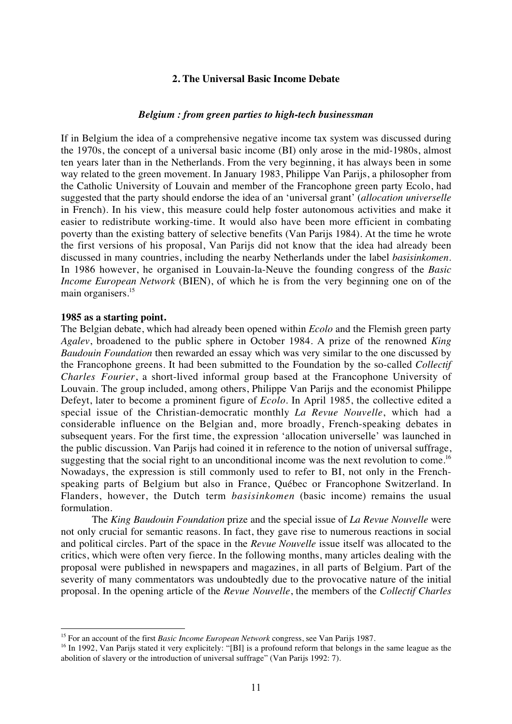# **2. The Universal Basic Income Debate**

#### *Belgium : from green parties to high-tech businessman*

If in Belgium the idea of a comprehensive negative income tax system was discussed during the 1970s, the concept of a universal basic income (BI) only arose in the mid-1980s, almost ten years later than in the Netherlands. From the very beginning, it has always been in some way related to the green movement. In January 1983, Philippe Van Parijs, a philosopher from the Catholic University of Louvain and member of the Francophone green party Ecolo, had suggested that the party should endorse the idea of an 'universal grant' (*allocation universelle* in French). In his view, this measure could help foster autonomous activities and make it easier to redistribute working-time. It would also have been more efficient in combating poverty than the existing battery of selective benefits (Van Parijs 1984). At the time he wrote the first versions of his proposal, Van Parijs did not know that the idea had already been discussed in many countries, including the nearby Netherlands under the label *basisinkomen*. In 1986 however, he organised in Louvain-la-Neuve the founding congress of the *Basic Income European Network* (BIEN), of which he is from the very beginning one on of the main organisers.<sup>15</sup>

# **1985 as a starting point.**

 $\overline{a}$ 

The Belgian debate, which had already been opened within *Ecolo* and the Flemish green party *Agalev*, broadened to the public sphere in October 1984. A prize of the renowned *King Baudouin Foundation* then rewarded an essay which was very similar to the one discussed by the Francophone greens. It had been submitted to the Foundation by the so-called *Collectif Charles Fourier*, a short-lived informal group based at the Francophone University of Louvain. The group included, among others, Philippe Van Parijs and the economist Philippe Defeyt, later to become a prominent figure of *Ecolo*. In April 1985, the collective edited a special issue of the Christian-democratic monthly *La Revue Nouvelle*, which had a considerable influence on the Belgian and, more broadly, French-speaking debates in subsequent years. For the first time, the expression 'allocation universelle' was launched in the public discussion. Van Parijs had coined it in reference to the notion of universal suffrage, suggesting that the social right to an unconditional income was the next revolution to come.<sup>16</sup> Nowadays, the expression is still commonly used to refer to BI, not only in the Frenchspeaking parts of Belgium but also in France, Québec or Francophone Switzerland. In Flanders, however, the Dutch term *basisinkomen* (basic income) remains the usual formulation.

The *King Baudouin Foundation* prize and the special issue of *La Revue Nouvelle* were not only crucial for semantic reasons. In fact, they gave rise to numerous reactions in social and political circles. Part of the space in the *Revue Nouvelle* issue itself was allocated to the critics, which were often very fierce. In the following months, many articles dealing with the proposal were published in newspapers and magazines, in all parts of Belgium. Part of the severity of many commentators was undoubtedly due to the provocative nature of the initial proposal. In the opening article of the *Revue Nouvelle*, the members of the *Collectif Charles*

<sup>15</sup> For an account of the first *Basic Income European Network* congress, see Van Parijs 1987.

<sup>&</sup>lt;sup>16</sup> In 1992, Van Parijs stated it very explicitely: "[BI] is a profound reform that belongs in the same league as the abolition of slavery or the introduction of universal suffrage" (Van Parijs 1992: 7).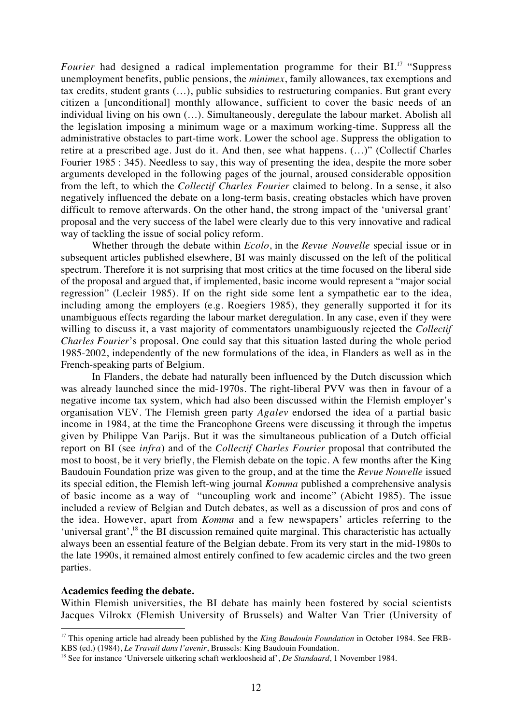*Fourier* had designed a radical implementation programme for their BI.<sup>17</sup> "Suppress" unemployment benefits, public pensions, the *minimex*, family allowances, tax exemptions and tax credits, student grants (…), public subsidies to restructuring companies. But grant every citizen a [unconditional] monthly allowance, sufficient to cover the basic needs of an individual living on his own (…). Simultaneously, deregulate the labour market. Abolish all the legislation imposing a minimum wage or a maximum working-time. Suppress all the administrative obstacles to part-time work. Lower the school age. Suppress the obligation to retire at a prescribed age. Just do it. And then, see what happens. (…)" (Collectif Charles Fourier 1985 : 345). Needless to say, this way of presenting the idea, despite the more sober arguments developed in the following pages of the journal, aroused considerable opposition from the left, to which the *Collectif Charles Fourier* claimed to belong. In a sense, it also negatively influenced the debate on a long-term basis, creating obstacles which have proven difficult to remove afterwards. On the other hand, the strong impact of the 'universal grant' proposal and the very success of the label were clearly due to this very innovative and radical way of tackling the issue of social policy reform.

Whether through the debate within *Ecolo*, in the *Revue Nouvelle* special issue or in subsequent articles published elsewhere, BI was mainly discussed on the left of the political spectrum. Therefore it is not surprising that most critics at the time focused on the liberal side of the proposal and argued that, if implemented, basic income would represent a "major social regression" (Lecleir 1985). If on the right side some lent a sympathetic ear to the idea, including among the employers (e.g. Roegiers 1985), they generally supported it for its unambiguous effects regarding the labour market deregulation. In any case, even if they were willing to discuss it, a vast majority of commentators unambiguously rejected the *Collectif Charles Fourier*'s proposal. One could say that this situation lasted during the whole period 1985-2002, independently of the new formulations of the idea, in Flanders as well as in the French-speaking parts of Belgium.

In Flanders, the debate had naturally been influenced by the Dutch discussion which was already launched since the mid-1970s. The right-liberal PVV was then in favour of a negative income tax system, which had also been discussed within the Flemish employer's organisation VEV. The Flemish green party *Agalev* endorsed the idea of a partial basic income in 1984, at the time the Francophone Greens were discussing it through the impetus given by Philippe Van Parijs. But it was the simultaneous publication of a Dutch official report on BI (see *infra*) and of the *Collectif Charles Fourier* proposal that contributed the most to boost, be it very briefly, the Flemish debate on the topic. A few months after the King Baudouin Foundation prize was given to the group, and at the time the *Revue Nouvelle* issued its special edition, the Flemish left-wing journal *Komma* published a comprehensive analysis of basic income as a way of "uncoupling work and income" (Abicht 1985). The issue included a review of Belgian and Dutch debates, as well as a discussion of pros and cons of the idea. However, apart from *Komma* and a few newspapers' articles referring to the 'universal grant',<sup>18</sup> the BI discussion remained quite marginal. This characteristic has actually always been an essential feature of the Belgian debate. From its very start in the mid-1980s to the late 1990s, it remained almost entirely confined to few academic circles and the two green parties.

# **Academics feeding the debate.**

 $\overline{a}$ 

Within Flemish universities, the BI debate has mainly been fostered by social scientists Jacques Vilrokx (Flemish University of Brussels) and Walter Van Trier (University of

<sup>&</sup>lt;sup>17</sup> This opening article had already been published by the *King Baudouin Foundation* in October 1984. See FRB-KBS (ed.) (1984), *Le Travail dans l'avenir*, Brussels: King Baudouin Foundation.

<sup>18</sup> See for instance 'Universele uitkering schaft werkloosheid af', *De Standaard*, 1 November 1984.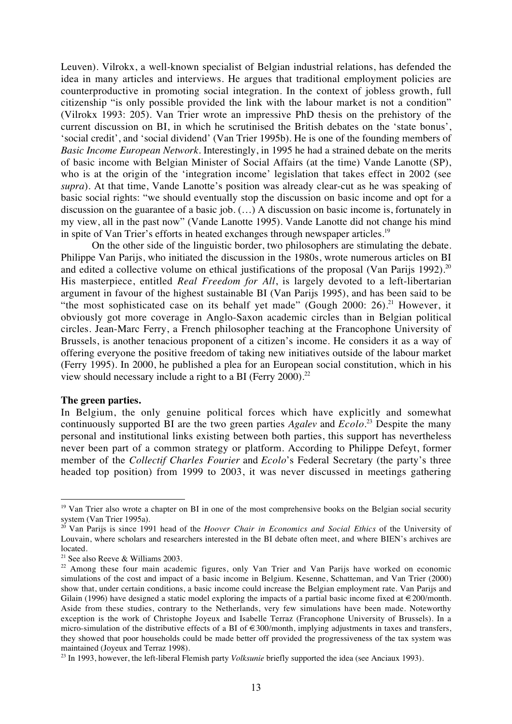Leuven). Vilrokx, a well-known specialist of Belgian industrial relations, has defended the idea in many articles and interviews. He argues that traditional employment policies are counterproductive in promoting social integration. In the context of jobless growth, full citizenship "is only possible provided the link with the labour market is not a condition" (Vilrokx 1993: 205). Van Trier wrote an impressive PhD thesis on the prehistory of the current discussion on BI, in which he scrutinised the British debates on the 'state bonus', 'social credit', and 'social dividend' (Van Trier 1995b). He is one of the founding members of *Basic Income European Network*. Interestingly, in 1995 he had a strained debate on the merits of basic income with Belgian Minister of Social Affairs (at the time) Vande Lanotte (SP), who is at the origin of the 'integration income' legislation that takes effect in 2002 (see *supra*). At that time, Vande Lanotte's position was already clear-cut as he was speaking of basic social rights: "we should eventually stop the discussion on basic income and opt for a discussion on the guarantee of a basic job. (…) A discussion on basic income is, fortunately in my view, all in the past now" (Vande Lanotte 1995). Vande Lanotte did not change his mind in spite of Van Trier's efforts in heated exchanges through newspaper articles.<sup>19</sup>

On the other side of the linguistic border, two philosophers are stimulating the debate. Philippe Van Parijs, who initiated the discussion in the 1980s, wrote numerous articles on BI and edited a collective volume on ethical justifications of the proposal (Van Parijs 1992).<sup>20</sup> His masterpiece, entitled *Real Freedom for All*, is largely devoted to a left-libertarian argument in favour of the highest sustainable BI (Van Parijs 1995), and has been said to be "the most sophisticated case on its behalf yet made" (Gough 2000:  $26$ ).<sup>21</sup> However, it obviously got more coverage in Anglo-Saxon academic circles than in Belgian political circles. Jean-Marc Ferry, a French philosopher teaching at the Francophone University of Brussels, is another tenacious proponent of a citizen's income. He considers it as a way of offering everyone the positive freedom of taking new initiatives outside of the labour market (Ferry 1995). In 2000, he published a plea for an European social constitution, which in his view should necessary include a right to a BI (Ferry 2000).<sup>22</sup>

#### **The green parties.**

 $\overline{a}$ 

In Belgium, the only genuine political forces which have explicitly and somewhat continuously supported BI are the two green parties *Agalev* and *Ecolo*. <sup>23</sup> Despite the many personal and institutional links existing between both parties, this support has nevertheless never been part of a common strategy or platform. According to Philippe Defeyt, former member of the *Collectif Charles Fourier* and *Ecolo*'s Federal Secretary (the party's three headed top position) from 1999 to 2003, it was never discussed in meetings gathering

<sup>&</sup>lt;sup>19</sup> Van Trier also wrote a chapter on BI in one of the most comprehensive books on the Belgian social security system (Van Trier 1995a).

<sup>20</sup> Van Parijs is since 1991 head of the *Hoover Chair in Economics and Social Ethics* of the University of Louvain, where scholars and researchers interested in the BI debate often meet, and where BIEN's archives are located.

<sup>&</sup>lt;sup>21</sup> See also Reeve & Williams 2003.

 $22$  Among these four main academic figures, only Van Trier and Van Parijs have worked on economic simulations of the cost and impact of a basic income in Belgium. Kesenne, Schatteman, and Van Trier (2000) show that, under certain conditions, a basic income could increase the Belgian employment rate. Van Parijs and Gilain (1996) have designed a static model exploring the impacts of a partial basic income fixed at  $\epsilon$ 200/month. Aside from these studies, contrary to the Netherlands, very few simulations have been made. Noteworthy exception is the work of Christophe Joyeux and Isabelle Terraz (Francophone University of Brussels). In a micro-simulation of the distributive effects of a BI of  $\in$ 300/month, implying adjustments in taxes and transfers, they showed that poor households could be made better off provided the progressiveness of the tax system was maintained (Joyeux and Terraz 1998).

<sup>&</sup>lt;sup>23</sup> In 1993, however, the left-liberal Flemish party *Volksunie* briefly supported the idea (see Anciaux 1993).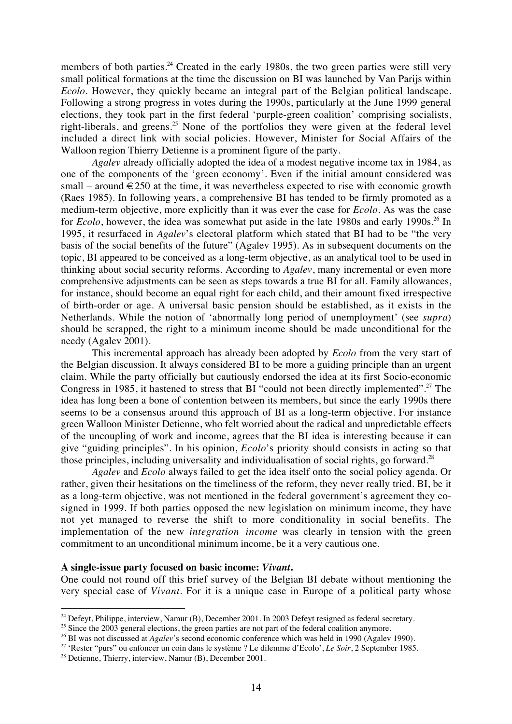members of both parties.<sup>24</sup> Created in the early 1980s, the two green parties were still very small political formations at the time the discussion on BI was launched by Van Parijs within *Ecolo*. However, they quickly became an integral part of the Belgian political landscape. Following a strong progress in votes during the 1990s, particularly at the June 1999 general elections, they took part in the first federal 'purple-green coalition' comprising socialists, right-liberals, and greens.<sup>25</sup> None of the portfolios they were given at the federal level included a direct link with social policies. However, Minister for Social Affairs of the Walloon region Thierry Detienne is a prominent figure of the party.

*Agalev* already officially adopted the idea of a modest negative income tax in 1984, as one of the components of the 'green economy'. Even if the initial amount considered was small – around  $\in 250$  at the time, it was nevertheless expected to rise with economic growth (Raes 1985). In following years, a comprehensive BI has tended to be firmly promoted as a medium-term objective, more explicitly than it was ever the case for *Ecolo*. As was the case for *Ecolo*, however, the idea was somewhat put aside in the late 1980s and early 1990s.<sup>26</sup> In 1995, it resurfaced in *Agalev*'s electoral platform which stated that BI had to be "the very basis of the social benefits of the future" (Agalev 1995). As in subsequent documents on the topic, BI appeared to be conceived as a long-term objective, as an analytical tool to be used in thinking about social security reforms. According to *Agalev*, many incremental or even more comprehensive adjustments can be seen as steps towards a true BI for all. Family allowances, for instance, should become an equal right for each child, and their amount fixed irrespective of birth-order or age. A universal basic pension should be established, as it exists in the Netherlands. While the notion of 'abnormally long period of unemployment' (see *supra*) should be scrapped, the right to a minimum income should be made unconditional for the needy (Agalev 2001).

This incremental approach has already been adopted by *Ecolo* from the very start of the Belgian discussion. It always considered BI to be more a guiding principle than an urgent claim. While the party officially but cautiously endorsed the idea at its first Socio-economic Congress in 1985, it hastened to stress that BI "could not been directly implemented".<sup>27</sup> The idea has long been a bone of contention between its members, but since the early 1990s there seems to be a consensus around this approach of BI as a long-term objective. For instance green Walloon Minister Detienne, who felt worried about the radical and unpredictable effects of the uncoupling of work and income, agrees that the BI idea is interesting because it can give "guiding principles". In his opinion, *Ecolo*'s priority should consists in acting so that those principles, including universality and individualisation of social rights, go forward.<sup>28</sup>

*Agalev* and *Ecolo* always failed to get the idea itself onto the social policy agenda. Or rather, given their hesitations on the timeliness of the reform, they never really tried. BI, be it as a long-term objective, was not mentioned in the federal government's agreement they cosigned in 1999. If both parties opposed the new legislation on minimum income, they have not yet managed to reverse the shift to more conditionality in social benefits. The implementation of the new *integration income* was clearly in tension with the green commitment to an unconditional minimum income, be it a very cautious one.

#### **A single-issue party focused on basic income:** *Vivant***.**

One could not round off this brief survey of the Belgian BI debate without mentioning the very special case of *Vivant*. For it is a unique case in Europe of a political party whose

<sup>&</sup>lt;sup>24</sup> Defeyt, Philippe, interview, Namur (B), December 2001. In 2003 Defeyt resigned as federal secretary.

<sup>&</sup>lt;sup>25</sup> Since the 2003 general elections, the green parties are not part of the federal coalition anymore.

<sup>&</sup>lt;sup>26</sup> BI was not discussed at *Agalev*'s second economic conference which was held in 1990 (Agalev 1990).

<sup>27 &#</sup>x27;Rester "purs" ou enfoncer un coin dans le système ? Le dilemme d'Ecolo', *Le Soir*, 2 September 1985.

 $28$  Detienne, Thierry, interview, Namur (B), December 2001.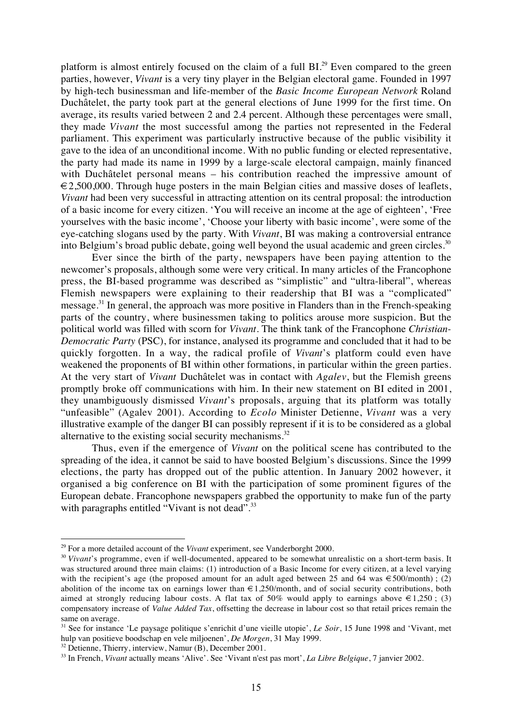platform is almost entirely focused on the claim of a full BI.<sup>29</sup> Even compared to the green parties, however, *Vivant* is a very tiny player in the Belgian electoral game. Founded in 1997 by high-tech businessman and life-member of the *Basic Income European Network* Roland Duchâtelet, the party took part at the general elections of June 1999 for the first time. On average, its results varied between 2 and 2.4 percent. Although these percentages were small, they made *Vivant* the most successful among the parties not represented in the Federal parliament. This experiment was particularly instructive because of the public visibility it gave to the idea of an unconditional income. With no public funding or elected representative, the party had made its name in 1999 by a large-scale electoral campaign, mainly financed with Duchâtelet personal means – his contribution reached the impressive amount of  $\epsilon$ 2,500,000. Through huge posters in the main Belgian cities and massive doses of leaflets, *Vivant* had been very successful in attracting attention on its central proposal: the introduction of a basic income for every citizen. 'You will receive an income at the age of eighteen', 'Free yourselves with the basic income', 'Choose your liberty with basic income', were some of the eye-catching slogans used by the party. With *Vivant*, BI was making a controversial entrance into Belgium's broad public debate, going well beyond the usual academic and green circles.<sup>30</sup>

Ever since the birth of the party, newspapers have been paying attention to the newcomer's proposals, although some were very critical. In many articles of the Francophone press, the BI-based programme was described as "simplistic" and "ultra-liberal", whereas Flemish newspapers were explaining to their readership that BI was a "complicated" message.<sup>31</sup> In general, the approach was more positive in Flanders than in the French-speaking parts of the country, where businessmen taking to politics arouse more suspicion. But the political world was filled with scorn for *Vivant*. The think tank of the Francophone *Christian-Democratic Party* (PSC), for instance, analysed its programme and concluded that it had to be quickly forgotten. In a way, the radical profile of *Vivant*'s platform could even have weakened the proponents of BI within other formations, in particular within the green parties. At the very start of *Vivant* Duchâtelet was in contact with *Agalev*, but the Flemish greens promptly broke off communications with him. In their new statement on BI edited in 2001, they unambiguously dismissed *Vivant*'s proposals, arguing that its platform was totally "unfeasible" (Agalev 2001). According to *Ecolo* Minister Detienne, *Vivant* was a very illustrative example of the danger BI can possibly represent if it is to be considered as a global alternative to the existing social security mechanisms. $32$ 

Thus, even if the emergence of *Vivant* on the political scene has contributed to the spreading of the idea, it cannot be said to have boosted Belgium's discussions. Since the 1999 elections, the party has dropped out of the public attention. In January 2002 however, it organised a big conference on BI with the participation of some prominent figures of the European debate. Francophone newspapers grabbed the opportunity to make fun of the party with paragraphs entitled "Vivant is not dead".<sup>33</sup>

<sup>&</sup>lt;sup>29</sup> For a more detailed account of the *Vivant* experiment, see Vanderborght 2000.

<sup>&</sup>lt;sup>30</sup> Vivant's programme, even if well-documented, appeared to be somewhat unrealistic on a short-term basis. It was structured around three main claims: (1) introduction of a Basic Income for every citizen, at a level varying with the recipient's age (the proposed amount for an adult aged between 25 and 64 was  $\epsilon$ 500/month); (2) abolition of the income tax on earnings lower than  $\epsilon$  1.250/month, and of social security contributions, both aimed at strongly reducing labour costs. A flat tax of 50% would apply to earnings above  $\in$  1,250; (3) compensatory increase of *Value Added Tax*, offsetting the decrease in labour cost so that retail prices remain the same on average.

<sup>31</sup> See for instance 'Le paysage politique s'enrichit d'une vieille utopie', *Le Soir*, 15 June 1998 and 'Vivant, met hulp van positieve boodschap en vele miljoenen', *De Morgen*, 31 May 1999.

<sup>&</sup>lt;sup>32</sup> Detienne, Thierry, interview, Namur (B), December 2001.

<sup>33</sup> In French, *Vivant* actually means 'Alive'. See 'Vivant n'est pas mort', *La Libre Belgique*, 7 janvier 2002.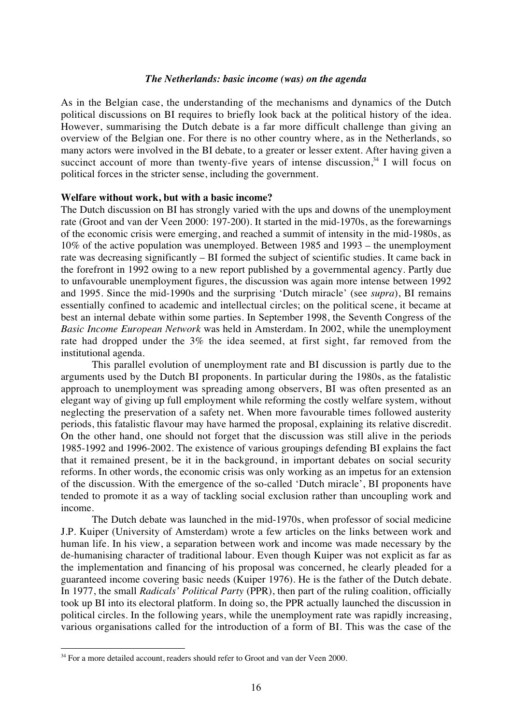# *The Netherlands: basic income (was) on the agenda*

As in the Belgian case, the understanding of the mechanisms and dynamics of the Dutch political discussions on BI requires to briefly look back at the political history of the idea. However, summarising the Dutch debate is a far more difficult challenge than giving an overview of the Belgian one. For there is no other country where, as in the Netherlands, so many actors were involved in the BI debate, to a greater or lesser extent. After having given a succinct account of more than twenty-five years of intense discussion,  $34$  I will focus on political forces in the stricter sense, including the government.

# **Welfare without work, but with a basic income?**

The Dutch discussion on BI has strongly varied with the ups and downs of the unemployment rate (Groot and van der Veen 2000: 197-200). It started in the mid-1970s, as the forewarnings of the economic crisis were emerging, and reached a summit of intensity in the mid-1980s, as 10% of the active population was unemployed. Between 1985 and 1993 – the unemployment rate was decreasing significantly – BI formed the subject of scientific studies. It came back in the forefront in 1992 owing to a new report published by a governmental agency. Partly due to unfavourable unemployment figures, the discussion was again more intense between 1992 and 1995. Since the mid-1990s and the surprising 'Dutch miracle' (see *supra*), BI remains essentially confined to academic and intellectual circles; on the political scene, it became at best an internal debate within some parties. In September 1998, the Seventh Congress of the *Basic Income European Network* was held in Amsterdam. In 2002, while the unemployment rate had dropped under the 3% the idea seemed, at first sight, far removed from the institutional agenda.

This parallel evolution of unemployment rate and BI discussion is partly due to the arguments used by the Dutch BI proponents. In particular during the 1980s, as the fatalistic approach to unemployment was spreading among observers, BI was often presented as an elegant way of giving up full employment while reforming the costly welfare system, without neglecting the preservation of a safety net. When more favourable times followed austerity periods, this fatalistic flavour may have harmed the proposal, explaining its relative discredit. On the other hand, one should not forget that the discussion was still alive in the periods 1985-1992 and 1996-2002. The existence of various groupings defending BI explains the fact that it remained present, be it in the background, in important debates on social security reforms. In other words, the economic crisis was only working as an impetus for an extension of the discussion. With the emergence of the so-called 'Dutch miracle', BI proponents have tended to promote it as a way of tackling social exclusion rather than uncoupling work and income.

The Dutch debate was launched in the mid-1970s, when professor of social medicine J.P. Kuiper (University of Amsterdam) wrote a few articles on the links between work and human life. In his view, a separation between work and income was made necessary by the de-humanising character of traditional labour. Even though Kuiper was not explicit as far as the implementation and financing of his proposal was concerned, he clearly pleaded for a guaranteed income covering basic needs (Kuiper 1976). He is the father of the Dutch debate. In 1977, the small *Radicals' Political Party* (PPR), then part of the ruling coalition, officially took up BI into its electoral platform. In doing so, the PPR actually launched the discussion in political circles. In the following years, while the unemployment rate was rapidly increasing, various organisations called for the introduction of a form of BI. This was the case of the

<sup>&</sup>lt;sup>34</sup> For a more detailed account, readers should refer to Groot and van der Veen 2000.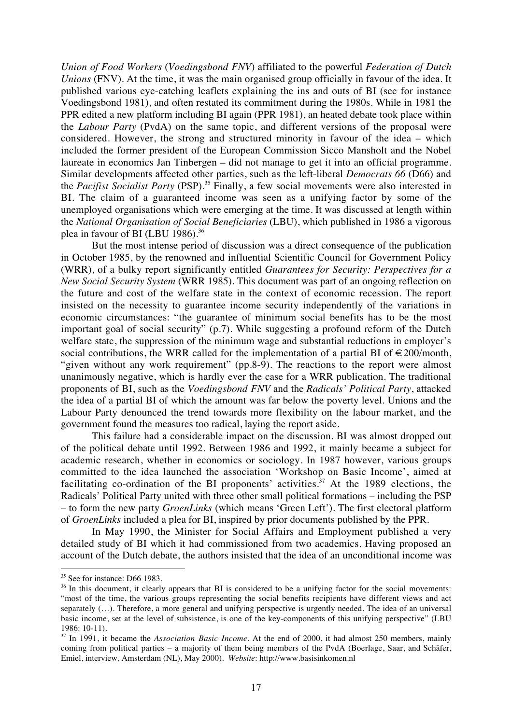*Union of Food Workers* (*Voedingsbond FNV*) affiliated to the powerful *Federation of Dutch Unions* (FNV). At the time, it was the main organised group officially in favour of the idea. It published various eye-catching leaflets explaining the ins and outs of BI (see for instance Voedingsbond 1981), and often restated its commitment during the 1980s. While in 1981 the PPR edited a new platform including BI again (PPR 1981), an heated debate took place within the *Labour Party* (PvdA) on the same topic, and different versions of the proposal were considered. However, the strong and structured minority in favour of the idea – which included the former president of the European Commission Sicco Mansholt and the Nobel laureate in economics Jan Tinbergen – did not manage to get it into an official programme. Similar developments affected other parties, such as the left-liberal *Democrats 66* (D66) and the *Pacifist Socialist Party* (PSP).<sup>35</sup> Finally, a few social movements were also interested in BI. The claim of a guaranteed income was seen as a unifying factor by some of the unemployed organisations which were emerging at the time. It was discussed at length within the *National Organisation of Social Beneficiaries* (LBU), which published in 1986 a vigorous plea in favour of BI (LBU 1986).<sup>36</sup>

But the most intense period of discussion was a direct consequence of the publication in October 1985, by the renowned and influential Scientific Council for Government Policy (WRR), of a bulky report significantly entitled *Guarantees for Security: Perspectives for a New Social Security System* (WRR 1985). This document was part of an ongoing reflection on the future and cost of the welfare state in the context of economic recession. The report insisted on the necessity to guarantee income security independently of the variations in economic circumstances: "the guarantee of minimum social benefits has to be the most important goal of social security" (p.7). While suggesting a profound reform of the Dutch welfare state, the suppression of the minimum wage and substantial reductions in employer's social contributions, the WRR called for the implementation of a partial BI of  $\in 200$ /month, "given without any work requirement" (pp.8-9). The reactions to the report were almost unanimously negative, which is hardly ever the case for a WRR publication. The traditional proponents of BI, such as the *Voedingsbond FNV* and the *Radicals' Political Party*, attacked the idea of a partial BI of which the amount was far below the poverty level. Unions and the Labour Party denounced the trend towards more flexibility on the labour market, and the government found the measures too radical, laying the report aside.

This failure had a considerable impact on the discussion. BI was almost dropped out of the political debate until 1992. Between 1986 and 1992, it mainly became a subject for academic research, whether in economics or sociology. In 1987 however, various groups committed to the idea launched the association 'Workshop on Basic Income', aimed at facilitating co-ordination of the BI proponents' activities.<sup>37</sup> At the 1989 elections, the Radicals' Political Party united with three other small political formations – including the PSP – to form the new party *GroenLinks* (which means 'Green Left'). The first electoral platform of *GroenLinks* included a plea for BI, inspired by prior documents published by the PPR.

In May 1990, the Minister for Social Affairs and Employment published a very detailed study of BI which it had commissioned from two academics. Having proposed an account of the Dutch debate, the authors insisted that the idea of an unconditional income was

<sup>&</sup>lt;sup>35</sup> See for instance: D66 1983.

<sup>&</sup>lt;sup>36</sup> In this document, it clearly appears that BI is considered to be a unifying factor for the social movements: "most of the time, the various groups representing the social benefits recipients have different views and act separately  $(...)$ . Therefore, a more general and unifying perspective is urgently needed. The idea of an universal basic income, set at the level of subsistence, is one of the key-components of this unifying perspective" (LBU 1986: 10-11).

<sup>&</sup>lt;sup>37</sup> In 1991, it became the *Association Basic Income*. At the end of 2000, it had almost 250 members, mainly coming from political parties – a majority of them being members of the PvdA (Boerlage, Saar, and Schäfer, Emiel, interview, Amsterdam (NL), May 2000). *Website*: http://www.basisinkomen.nl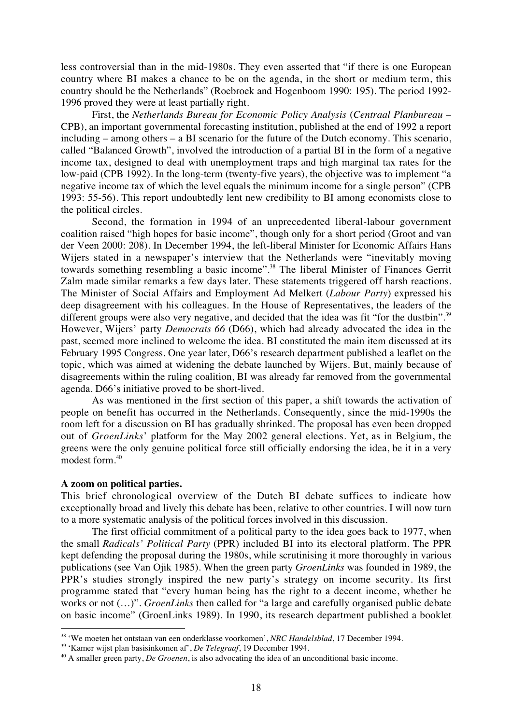less controversial than in the mid-1980s. They even asserted that "if there is one European country where BI makes a chance to be on the agenda, in the short or medium term, this country should be the Netherlands" (Roebroek and Hogenboom 1990: 195). The period 1992- 1996 proved they were at least partially right.

First, the *Netherlands Bureau for Economic Policy Analysis* (*Centraal Planbureau* – CPB), an important governmental forecasting institution, published at the end of 1992 a report including – among others – a BI scenario for the future of the Dutch economy. This scenario, called "Balanced Growth", involved the introduction of a partial BI in the form of a negative income tax, designed to deal with unemployment traps and high marginal tax rates for the low-paid (CPB 1992). In the long-term (twenty-five years), the objective was to implement "a negative income tax of which the level equals the minimum income for a single person" (CPB 1993: 55-56). This report undoubtedly lent new credibility to BI among economists close to the political circles.

Second, the formation in 1994 of an unprecedented liberal-labour government coalition raised "high hopes for basic income", though only for a short period (Groot and van der Veen 2000: 208). In December 1994, the left-liberal Minister for Economic Affairs Hans Wijers stated in a newspaper's interview that the Netherlands were "inevitably moving towards something resembling a basic income".<sup>38</sup> The liberal Minister of Finances Gerrit Zalm made similar remarks a few days later. These statements triggered off harsh reactions. The Minister of Social Affairs and Employment Ad Melkert (*Labour Party*) expressed his deep disagreement with his colleagues. In the House of Representatives, the leaders of the different groups were also very negative, and decided that the idea was fit "for the dustbin".<sup>39</sup> However, Wijers' party *Democrats 66* (D66), which had already advocated the idea in the past, seemed more inclined to welcome the idea. BI constituted the main item discussed at its February 1995 Congress. One year later, D66's research department published a leaflet on the topic, which was aimed at widening the debate launched by Wijers. But, mainly because of disagreements within the ruling coalition, BI was already far removed from the governmental agenda. D66's initiative proved to be short-lived.

As was mentioned in the first section of this paper, a shift towards the activation of people on benefit has occurred in the Netherlands. Consequently, since the mid-1990s the room left for a discussion on BI has gradually shrinked. The proposal has even been dropped out of *GroenLinks*' platform for the May 2002 general elections. Yet, as in Belgium, the greens were the only genuine political force still officially endorsing the idea, be it in a very modest form.<sup>40</sup>

# **A zoom on political parties.**

 $\overline{a}$ 

This brief chronological overview of the Dutch BI debate suffices to indicate how exceptionally broad and lively this debate has been, relative to other countries. I will now turn to a more systematic analysis of the political forces involved in this discussion.

The first official commitment of a political party to the idea goes back to 1977, when the small *Radicals' Political Party* (PPR) included BI into its electoral platform. The PPR kept defending the proposal during the 1980s, while scrutinising it more thoroughly in various publications (see Van Ojik 1985). When the green party *GroenLinks* was founded in 1989, the PPR's studies strongly inspired the new party's strategy on income security. Its first programme stated that "every human being has the right to a decent income, whether he works or not (…)". *GroenLinks* then called for "a large and carefully organised public debate on basic income" (GroenLinks 1989). In 1990, its research department published a booklet

<sup>38 &#</sup>x27;We moeten het ontstaan van een onderklasse voorkomen', *NRC Handelsblad*, 17 December 1994.

<sup>39 &#</sup>x27;Kamer wijst plan basisinkomen af', *De Telegraaf*, 19 December 1994.

<sup>&</sup>lt;sup>40</sup> A smaller green party, *De Groenen*, is also advocating the idea of an unconditional basic income.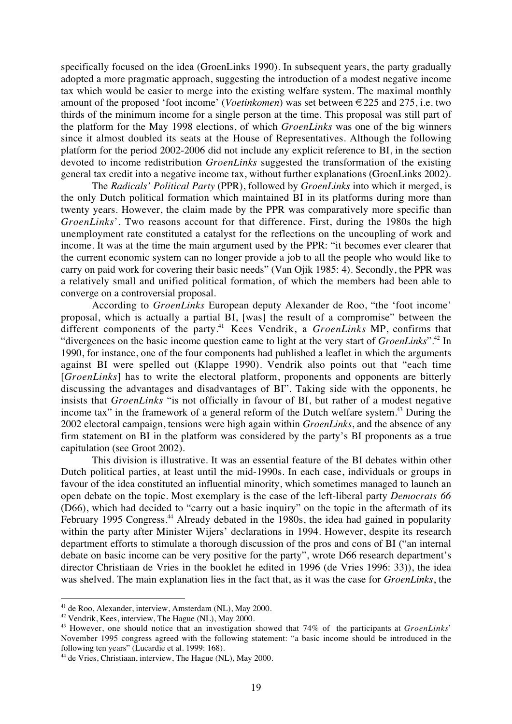specifically focused on the idea (GroenLinks 1990). In subsequent years, the party gradually adopted a more pragmatic approach, suggesting the introduction of a modest negative income tax which would be easier to merge into the existing welfare system. The maximal monthly amount of the proposed 'foot income' (*Voetinkomen*) was set between €225 and 275, i.e. two thirds of the minimum income for a single person at the time. This proposal was still part of the platform for the May 1998 elections, of which *GroenLinks* was one of the big winners since it almost doubled its seats at the House of Representatives. Although the following platform for the period 2002-2006 did not include any explicit reference to BI, in the section devoted to income redistribution *GroenLinks* suggested the transformation of the existing general tax credit into a negative income tax, without further explanations (GroenLinks 2002).

The *Radicals' Political Party* (PPR), followed by *GroenLinks* into which it merged, is the only Dutch political formation which maintained BI in its platforms during more than twenty years. However, the claim made by the PPR was comparatively more specific than *GroenLinks*'. Two reasons account for that difference. First, during the 1980s the high unemployment rate constituted a catalyst for the reflections on the uncoupling of work and income. It was at the time the main argument used by the PPR: "it becomes ever clearer that the current economic system can no longer provide a job to all the people who would like to carry on paid work for covering their basic needs" (Van Ojik 1985: 4). Secondly, the PPR was a relatively small and unified political formation, of which the members had been able to converge on a controversial proposal.

According to *GroenLinks* European deputy Alexander de Roo, "the 'foot income' proposal, which is actually a partial BI, [was] the result of a compromise" between the different components of the party.<sup>41</sup> Kees Vendrik, a *GroenLinks* MP, confirms that "divergences on the basic income question came to light at the very start of *GroenLinks*".42 In 1990, for instance, one of the four components had published a leaflet in which the arguments against BI were spelled out (Klappe 1990). Vendrik also points out that "each time [*GroenLinks*] has to write the electoral platform, proponents and opponents are bitterly discussing the advantages and disadvantages of BI". Taking side with the opponents, he insists that *GroenLinks* "is not officially in favour of BI, but rather of a modest negative income tax" in the framework of a general reform of the Dutch welfare system.<sup>43</sup> During the 2002 electoral campaign, tensions were high again within *GroenLinks*, and the absence of any firm statement on BI in the platform was considered by the party's BI proponents as a true capitulation (see Groot 2002).

This division is illustrative. It was an essential feature of the BI debates within other Dutch political parties, at least until the mid-1990s. In each case, individuals or groups in favour of the idea constituted an influential minority, which sometimes managed to launch an open debate on the topic. Most exemplary is the case of the left-liberal party *Democrats 66* (D66), which had decided to "carry out a basic inquiry" on the topic in the aftermath of its February 1995 Congress.<sup>44</sup> Already debated in the 1980s, the idea had gained in popularity within the party after Minister Wijers' declarations in 1994. However, despite its research department efforts to stimulate a thorough discussion of the pros and cons of BI ("an internal debate on basic income can be very positive for the party", wrote D66 research department's director Christiaan de Vries in the booklet he edited in 1996 (de Vries 1996: 33)), the idea was shelved. The main explanation lies in the fact that, as it was the case for *GroenLinks*, the

<sup>41</sup> de Roo, Alexander, interview, Amsterdam (NL), May 2000.

<sup>42</sup> Vendrik, Kees, interview, The Hague (NL), May 2000.

<sup>43</sup> However, one should notice that an investigation showed that 74% of the participants at *GroenLinks*' November 1995 congress agreed with the following statement: "a basic income should be introduced in the following ten years" (Lucardie et al. 1999: 168).

<sup>&</sup>lt;sup>44</sup> de Vries, Christiaan, interview, The Hague (NL), May 2000.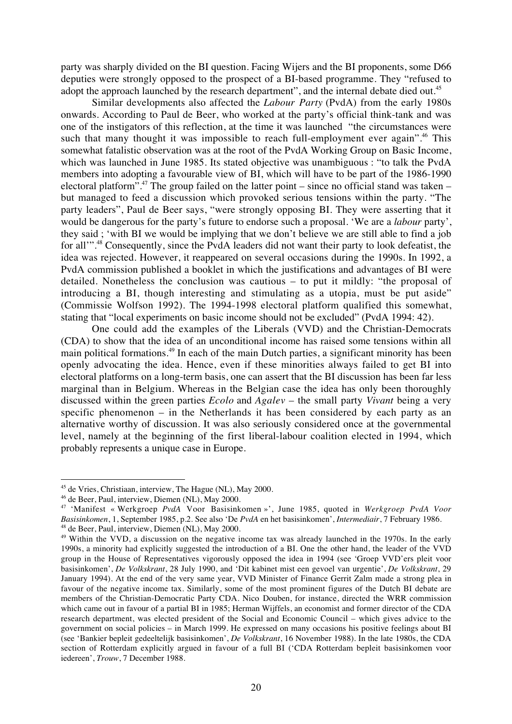party was sharply divided on the BI question. Facing Wijers and the BI proponents, some D66 deputies were strongly opposed to the prospect of a BI-based programme. They "refused to adopt the approach launched by the research department", and the internal debate died out.<sup>45</sup>

Similar developments also affected the *Labour Party* (PvdA) from the early 1980s onwards. According to Paul de Beer, who worked at the party's official think-tank and was one of the instigators of this reflection, at the time it was launched "the circumstances were such that many thought it was impossible to reach full-employment ever again".<sup>46</sup> This somewhat fatalistic observation was at the root of the PvdA Working Group on Basic Income, which was launched in June 1985. Its stated objective was unambiguous : "to talk the PvdA members into adopting a favourable view of BI, which will have to be part of the 1986-1990 electoral platform".<sup>47</sup> The group failed on the latter point – since no official stand was taken – but managed to feed a discussion which provoked serious tensions within the party. "The party leaders", Paul de Beer says, "were strongly opposing BI. They were asserting that it would be dangerous for the party's future to endorse such a proposal. 'We are a *labour* party', they said ; 'with BI we would be implying that we don't believe we are still able to find a job for all'"<sup>48</sup> Consequently, since the PvdA leaders did not want their party to look defeatist, the idea was rejected. However, it reappeared on several occasions during the 1990s. In 1992, a PvdA commission published a booklet in which the justifications and advantages of BI were detailed. Nonetheless the conclusion was cautious – to put it mildly: "the proposal of introducing a BI, though interesting and stimulating as a utopia, must be put aside" (Commissie Wolfson 1992). The 1994-1998 electoral platform qualified this somewhat, stating that "local experiments on basic income should not be excluded" (PvdA 1994: 42).

One could add the examples of the Liberals (VVD) and the Christian-Democrats (CDA) to show that the idea of an unconditional income has raised some tensions within all main political formations.<sup>49</sup> In each of the main Dutch parties, a significant minority has been openly advocating the idea. Hence, even if these minorities always failed to get BI into electoral platforms on a long-term basis, one can assert that the BI discussion has been far less marginal than in Belgium. Whereas in the Belgian case the idea has only been thoroughly discussed within the green parties *Ecolo* and *Agalev* – the small party *Vivant* being a very specific phenomenon – in the Netherlands it has been considered by each party as an alternative worthy of discussion. It was also seriously considered once at the governmental level, namely at the beginning of the first liberal-labour coalition elected in 1994, which probably represents a unique case in Europe.

<sup>45</sup> de Vries, Christiaan, interview, The Hague (NL), May 2000.

<sup>46</sup> de Beer, Paul, interview, Diemen (NL), May 2000.

<sup>47</sup> 'Manifest « Werkgroep *PvdA* Voor Basisinkomen »', June 1985, quoted in *Werkgroep PvdA Voor Basisinkomen*, 1, September 1985, p.2. See also 'De *PvdA* en het basisinkomen', *Intermediair*, 7 February 1986. 48 de Beer, Paul, interview, Diemen (NL), May 2000.

<sup>&</sup>lt;sup>49</sup> Within the VVD, a discussion on the negative income tax was already launched in the 1970s. In the early 1990s, a minority had explicitly suggested the introduction of a BI. One the other hand, the leader of the VVD group in the House of Representatives vigorously opposed the idea in 1994 (see 'Groep VVD'ers pleit voor basisinkomen', *De Volkskrant*, 28 July 1990, and 'Dit kabinet mist een gevoel van urgentie', *De Volkskrant*, 29 January 1994). At the end of the very same year, VVD Minister of Finance Gerrit Zalm made a strong plea in favour of the negative income tax. Similarly, some of the most prominent figures of the Dutch BI debate are members of the Christian-Democratic Party CDA. Nico Douben, for instance, directed the WRR commission which came out in favour of a partial BI in 1985; Herman Wijffels, an economist and former director of the CDA research department, was elected president of the Social and Economic Council – which gives advice to the government on social policies – in March 1999. He expressed on many occasions his positive feelings about BI (see 'Bankier bepleit gedeeltelijk basisinkomen', *De Volkskrant*, 16 November 1988). In the late 1980s, the CDA section of Rotterdam explicitly argued in favour of a full BI ('CDA Rotterdam bepleit basisinkomen voor iedereen', *Trouw*, 7 December 1988.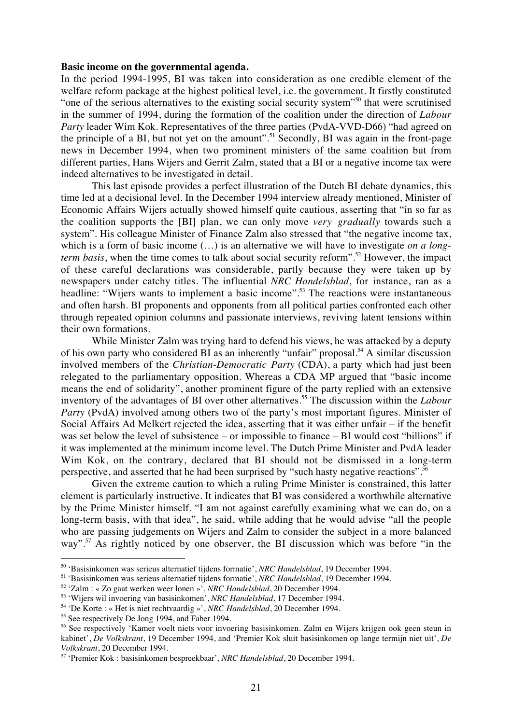# **Basic income on the governmental agenda.**

In the period 1994-1995, BI was taken into consideration as one credible element of the welfare reform package at the highest political level, i.e. the government. It firstly constituted "one of the serious alternatives to the existing social security system"50 that were scrutinised in the summer of 1994, during the formation of the coalition under the direction of *Labour Party* leader Wim Kok. Representatives of the three parties (PvdA-VVD-D66) "had agreed on the principle of a BI, but not yet on the amount".<sup>51</sup> Secondly, BI was again in the front-page news in December 1994, when two prominent ministers of the same coalition but from different parties, Hans Wijers and Gerrit Zalm, stated that a BI or a negative income tax were indeed alternatives to be investigated in detail.

This last episode provides a perfect illustration of the Dutch BI debate dynamics, this time led at a decisional level. In the December 1994 interview already mentioned, Minister of Economic Affairs Wijers actually showed himself quite cautious, asserting that "in so far as the coalition supports the [BI] plan, we can only move *very gradually* towards such a system". His colleague Minister of Finance Zalm also stressed that "the negative income tax, which is a form of basic income (…) is an alternative we will have to investigate *on a longterm basis*, when the time comes to talk about social security reform".<sup>52</sup> However, the impact of these careful declarations was considerable, partly because they were taken up by newspapers under catchy titles. The influential *NRC Handelsblad*, for instance, ran as a headline: "Wijers wants to implement a basic income".<sup>53</sup> The reactions were instantaneous and often harsh. BI proponents and opponents from all political parties confronted each other through repeated opinion columns and passionate interviews, reviving latent tensions within their own formations.

While Minister Zalm was trying hard to defend his views, he was attacked by a deputy of his own party who considered BI as an inherently "unfair" proposal.<sup>54</sup> A similar discussion involved members of the *Christian-Democratic Party* (CDA), a party which had just been relegated to the parliamentary opposition. Whereas a CDA MP argued that "basic income means the end of solidarity", another prominent figure of the party replied with an extensive inventory of the advantages of BI over other alternatives.55 The discussion within the *Labour Party* (PvdA) involved among others two of the party's most important figures. Minister of Social Affairs Ad Melkert rejected the idea, asserting that it was either unfair – if the benefit was set below the level of subsistence – or impossible to finance – BI would cost "billions" if it was implemented at the minimum income level. The Dutch Prime Minister and PvdA leader Wim Kok, on the contrary, declared that BI should not be dismissed in a long-term perspective, and asserted that he had been surprised by "such hasty negative reactions".56

Given the extreme caution to which a ruling Prime Minister is constrained, this latter element is particularly instructive. It indicates that BI was considered a worthwhile alternative by the Prime Minister himself. "I am not against carefully examining what we can do, on a long-term basis, with that idea", he said, while adding that he would advise "all the people who are passing judgements on Wijers and Zalm to consider the subject in a more balanced way".<sup>57</sup> As rightly noticed by one observer, the BI discussion which was before "in the

<sup>50 &#</sup>x27;Basisinkomen was serieus alternatief tijdens formatie', *NRC Handelsblad*, 19 December 1994.

<sup>51 &#</sup>x27;Basisinkomen was serieus alternatief tijdens formatie', *NRC Handelsblad*, 19 December 1994.

<sup>52 &#</sup>x27;Zalm : « Zo gaat werken weer lonen »', *NRC Handelsblad*, 20 December 1994.

<sup>53 &#</sup>x27;Wijers wil invoering van basisinkomen', *NRC Handelsblad*, 17 December 1994.

<sup>54 &#</sup>x27;De Korte : « Het is niet rechtvaardig »', *NRC Handelsblad*, 20 December 1994.

<sup>&</sup>lt;sup>55</sup> See respectively De Jong 1994, and Faber 1994.

<sup>56</sup> See respectively 'Kamer voelt niets voor invoering basisinkomen. Zalm en Wijers krijgen ook geen steun in kabinet', *De Volkskrant*, 19 December 1994, and 'Premier Kok sluit basisinkomen op lange termijn niet uit', *De Volkskrant*, 20 December 1994.

<sup>57 &#</sup>x27;Premier Kok : basisinkomen bespreekbaar', *NRC Handelsblad*, 20 December 1994.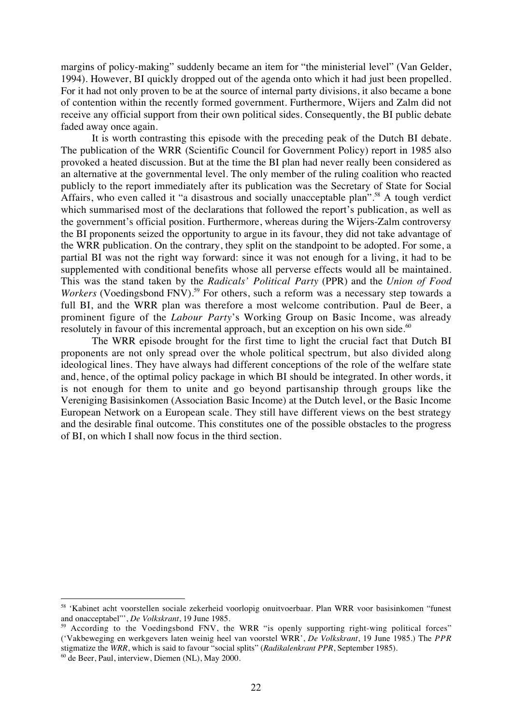margins of policy-making" suddenly became an item for "the ministerial level" (Van Gelder, 1994). However, BI quickly dropped out of the agenda onto which it had just been propelled. For it had not only proven to be at the source of internal party divisions, it also became a bone of contention within the recently formed government. Furthermore, Wijers and Zalm did not receive any official support from their own political sides. Consequently, the BI public debate faded away once again.

It is worth contrasting this episode with the preceding peak of the Dutch BI debate. The publication of the WRR (Scientific Council for Government Policy) report in 1985 also provoked a heated discussion. But at the time the BI plan had never really been considered as an alternative at the governmental level. The only member of the ruling coalition who reacted publicly to the report immediately after its publication was the Secretary of State for Social Affairs, who even called it "a disastrous and socially unacceptable plan".<sup>58</sup> A tough verdict which summarised most of the declarations that followed the report's publication, as well as the government's official position. Furthermore, whereas during the Wijers-Zalm controversy the BI proponents seized the opportunity to argue in its favour, they did not take advantage of the WRR publication. On the contrary, they split on the standpoint to be adopted. For some, a partial BI was not the right way forward: since it was not enough for a living, it had to be supplemented with conditional benefits whose all perverse effects would all be maintained. This was the stand taken by the *Radicals' Political Party* (PPR) and the *Union of Food Workers* (Voedingsbond FNV).<sup>59</sup> For others, such a reform was a necessary step towards a full BI, and the WRR plan was therefore a most welcome contribution. Paul de Beer, a prominent figure of the *Labour Party*'s Working Group on Basic Income, was already resolutely in favour of this incremental approach, but an exception on his own side. $60$ 

The WRR episode brought for the first time to light the crucial fact that Dutch BI proponents are not only spread over the whole political spectrum, but also divided along ideological lines. They have always had different conceptions of the role of the welfare state and, hence, of the optimal policy package in which BI should be integrated. In other words, it is not enough for them to unite and go beyond partisanship through groups like the Vereniging Basisinkomen (Association Basic Income) at the Dutch level, or the Basic Income European Network on a European scale. They still have different views on the best strategy and the desirable final outcome. This constitutes one of the possible obstacles to the progress of BI, on which I shall now focus in the third section.

<sup>58</sup> 'Kabinet acht voorstellen sociale zekerheid voorlopig onuitvoerbaar. Plan WRR voor basisinkomen "funest and onacceptabel"', *De Volkskrant*, 19 June 1985.

<sup>&</sup>lt;sup>9</sup> According to the Voedingsbond FNV, the WRR "is openly supporting right-wing political forces" ('Vakbeweging en werkgevers laten weinig heel van voorstel WRR', *De Volkskrant*, 19 June 1985.) The *PPR* stigmatize the *WRR*, which is said to favour "social splits" (*Radikalenkrant PPR*, September 1985).

 $60$  de Beer, Paul, interview, Diemen (NL), May 2000.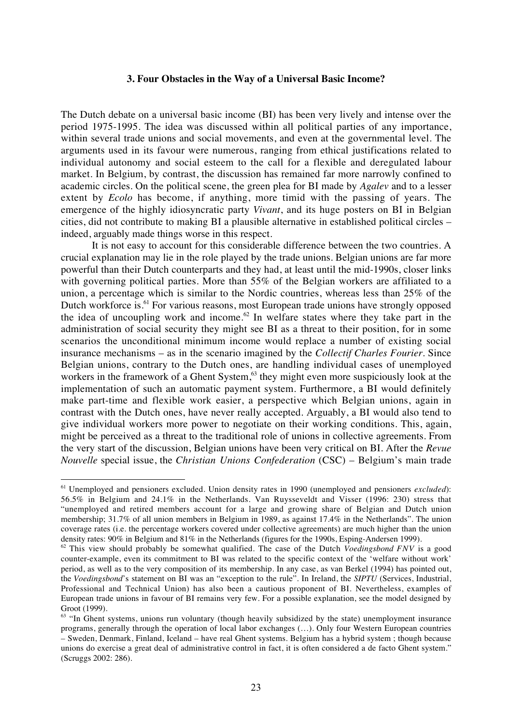## **3. Four Obstacles in the Way of a Universal Basic Income?**

The Dutch debate on a universal basic income (BI) has been very lively and intense over the period 1975-1995. The idea was discussed within all political parties of any importance, within several trade unions and social movements, and even at the governmental level. The arguments used in its favour were numerous, ranging from ethical justifications related to individual autonomy and social esteem to the call for a flexible and deregulated labour market. In Belgium, by contrast, the discussion has remained far more narrowly confined to academic circles. On the political scene, the green plea for BI made by *Agalev* and to a lesser extent by *Ecolo* has become, if anything, more timid with the passing of years. The emergence of the highly idiosyncratic party *Vivant*, and its huge posters on BI in Belgian cities, did not contribute to making BI a plausible alternative in established political circles – indeed, arguably made things worse in this respect.

It is not easy to account for this considerable difference between the two countries. A crucial explanation may lie in the role played by the trade unions. Belgian unions are far more powerful than their Dutch counterparts and they had, at least until the mid-1990s, closer links with governing political parties. More than 55% of the Belgian workers are affiliated to a union, a percentage which is similar to the Nordic countries, whereas less than 25% of the Dutch workforce is.<sup>61</sup> For various reasons, most European trade unions have strongly opposed the idea of uncoupling work and income.<sup>62</sup> In welfare states where they take part in the administration of social security they might see BI as a threat to their position, for in some scenarios the unconditional minimum income would replace a number of existing social insurance mechanisms – as in the scenario imagined by the *Collectif Charles Fourier*. Since Belgian unions, contrary to the Dutch ones, are handling individual cases of unemployed workers in the framework of a Ghent System,<sup>63</sup> they might even more suspiciously look at the implementation of such an automatic payment system. Furthermore, a BI would definitely make part-time and flexible work easier, a perspective which Belgian unions, again in contrast with the Dutch ones, have never really accepted. Arguably, a BI would also tend to give individual workers more power to negotiate on their working conditions. This, again, might be perceived as a threat to the traditional role of unions in collective agreements. From the very start of the discussion, Belgian unions have been very critical on BI. After the *Revue Nouvelle* special issue, the *Christian Unions Confederation* (CSC) – Belgium's main trade

<sup>61</sup> Unemployed and pensioners excluded. Union density rates in 1990 (unemployed and pensioners *excluded*): 56.5% in Belgium and 24.1% in the Netherlands. Van Ruysseveldt and Visser (1996: 230) stress that "unemployed and retired members account for a large and growing share of Belgian and Dutch union membership; 31.7% of all union members in Belgium in 1989, as against 17.4% in the Netherlands". The union coverage rates (i.e. the percentage workers covered under collective agreements) are much higher than the union density rates: 90% in Belgium and 81% in the Netherlands (figures for the 1990s, Esping-Andersen 1999).

<sup>62</sup> This view should probably be somewhat qualified. The case of the Dutch *Voedingsbond FNV* is a good counter-example, even its commitment to BI was related to the specific context of the 'welfare without work' period, as well as to the very composition of its membership. In any case, as van Berkel (1994) has pointed out, the *Voedingsbond*'s statement on BI was an "exception to the rule". In Ireland, the *SIPTU* (Services, Industrial, Professional and Technical Union) has also been a cautious proponent of BI. Nevertheless, examples of European trade unions in favour of BI remains very few. For a possible explanation, see the model designed by Groot (1999).

 $63$  "In Ghent systems, unions run voluntary (though heavily subsidized by the state) unemployment insurance programs, generally through the operation of local labor exchanges (…). Only four Western European countries – Sweden, Denmark, Finland, Iceland – have real Ghent systems. Belgium has a hybrid system ; though because unions do exercise a great deal of administrative control in fact, it is often considered a de facto Ghent system." (Scruggs 2002: 286).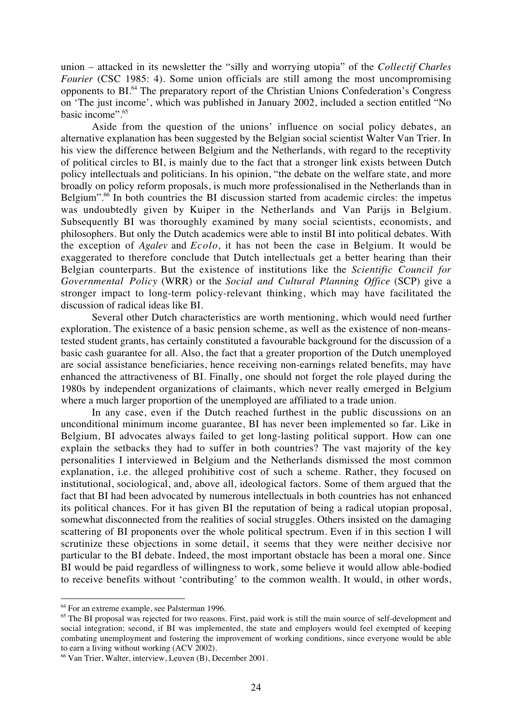union – attacked in its newsletter the "silly and worrying utopia" of the *Collectif Charles Fourier* (CSC 1985: 4). Some union officials are still among the most uncompromising opponents to BI.64 The preparatory report of the Christian Unions Confederation's Congress on 'The just income', which was published in January 2002, included a section entitled "No basic income".65

Aside from the question of the unions' influence on social policy debates, an alternative explanation has been suggested by the Belgian social scientist Walter Van Trier. In his view the difference between Belgium and the Netherlands, with regard to the receptivity of political circles to BI, is mainly due to the fact that a stronger link exists between Dutch policy intellectuals and politicians. In his opinion, "the debate on the welfare state, and more broadly on policy reform proposals, is much more professionalised in the Netherlands than in Belgium".<sup>66</sup> In both countries the BI discussion started from academic circles: the impetus was undoubtedly given by Kuiper in the Netherlands and Van Parijs in Belgium. Subsequently BI was thoroughly examined by many social scientists, economists, and philosophers. But only the Dutch academics were able to instil BI into political debates. With the exception of *Agalev* and *Ecolo*, it has not been the case in Belgium. It would be exaggerated to therefore conclude that Dutch intellectuals get a better hearing than their Belgian counterparts. But the existence of institutions like the *Scientific Council for Governmental Policy* (WRR) or the *Social and Cultural Planning Office* (SCP) give a stronger impact to long-term policy-relevant thinking, which may have facilitated the discussion of radical ideas like BI.

Several other Dutch characteristics are worth mentioning, which would need further exploration. The existence of a basic pension scheme, as well as the existence of non-meanstested student grants, has certainly constituted a favourable background for the discussion of a basic cash guarantee for all. Also, the fact that a greater proportion of the Dutch unemployed are social assistance beneficiaries, hence receiving non-earnings related benefits, may have enhanced the attractiveness of BI. Finally, one should not forget the role played during the 1980s by independent organizations of claimants, which never really emerged in Belgium where a much larger proportion of the unemployed are affiliated to a trade union.

In any case, even if the Dutch reached furthest in the public discussions on an unconditional minimum income guarantee, BI has never been implemented so far. Like in Belgium, BI advocates always failed to get long-lasting political support. How can one explain the setbacks they had to suffer in both countries? The vast majority of the key personalities I interviewed in Belgium and the Netherlands dismissed the most common explanation, i.e. the alleged prohibitive cost of such a scheme. Rather, they focused on institutional, sociological, and, above all, ideological factors. Some of them argued that the fact that BI had been advocated by numerous intellectuals in both countries has not enhanced its political chances. For it has given BI the reputation of being a radical utopian proposal, somewhat disconnected from the realities of social struggles. Others insisted on the damaging scattering of BI proponents over the whole political spectrum. Even if in this section I will scrutinize these objections in some detail, it seems that they were neither decisive nor particular to the BI debate. Indeed, the most important obstacle has been a moral one. Since BI would be paid regardless of willingness to work, some believe it would allow able-bodied to receive benefits without 'contributing' to the common wealth. It would, in other words,

<sup>64</sup> For an extreme example, see Palsterman 1996.

<sup>&</sup>lt;sup>65</sup> The BI proposal was rejected for two reasons. First, paid work is still the main source of self-development and social integration; second, if BI was implemented, the state and employers would feel exempted of keeping combating unemployment and fostering the improvement of working conditions, since everyone would be able to earn a living without working (ACV 2002).

<sup>66</sup> Van Trier, Walter, interview, Leuven (B), December 2001.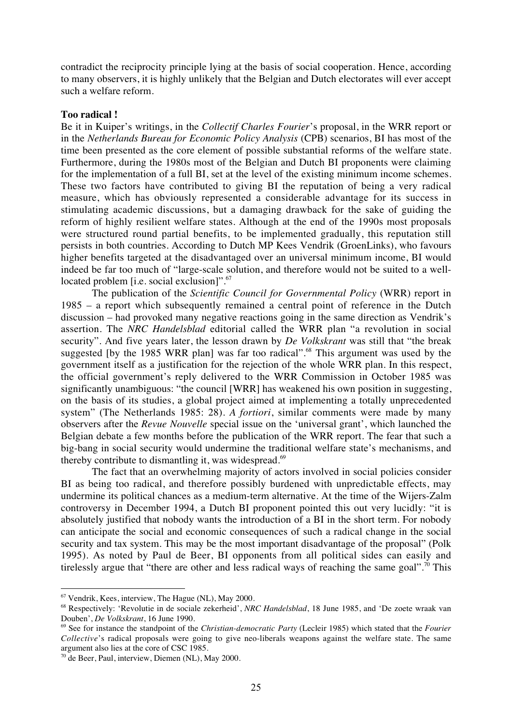contradict the reciprocity principle lying at the basis of social cooperation. Hence, according to many observers, it is highly unlikely that the Belgian and Dutch electorates will ever accept such a welfare reform.

# **Too radical !**

Be it in Kuiper's writings, in the *Collectif Charles Fourier*'s proposal, in the WRR report or in the *Netherlands Bureau for Economic Policy Analysis* (CPB) scenarios, BI has most of the time been presented as the core element of possible substantial reforms of the welfare state. Furthermore, during the 1980s most of the Belgian and Dutch BI proponents were claiming for the implementation of a full BI, set at the level of the existing minimum income schemes. These two factors have contributed to giving BI the reputation of being a very radical measure, which has obviously represented a considerable advantage for its success in stimulating academic discussions, but a damaging drawback for the sake of guiding the reform of highly resilient welfare states. Although at the end of the 1990s most proposals were structured round partial benefits, to be implemented gradually, this reputation still persists in both countries. According to Dutch MP Kees Vendrik (GroenLinks), who favours higher benefits targeted at the disadvantaged over an universal minimum income, BI would indeed be far too much of "large-scale solution, and therefore would not be suited to a welllocated problem [i.e. social exclusion]".<sup>67</sup>

The publication of the *Scientific Council for Governmental Policy* (WRR) report in 1985 – a report which subsequently remained a central point of reference in the Dutch discussion – had provoked many negative reactions going in the same direction as Vendrik's assertion. The *NRC Handelsblad* editorial called the WRR plan "a revolution in social security". And five years later, the lesson drawn by *De Volkskrant* was still that "the break suggested [by the 1985 WRR plan] was far too radical".<sup>68</sup> This argument was used by the government itself as a justification for the rejection of the whole WRR plan. In this respect, the official government's reply delivered to the WRR Commission in October 1985 was significantly unambiguous: "the council [WRR] has weakened his own position in suggesting, on the basis of its studies, a global project aimed at implementing a totally unprecedented system" (The Netherlands 1985: 28). *A fortiori*, similar comments were made by many observers after the *Revue Nouvelle* special issue on the 'universal grant', which launched the Belgian debate a few months before the publication of the WRR report. The fear that such a big-bang in social security would undermine the traditional welfare state's mechanisms, and thereby contribute to dismantling it, was widespread. $69$ 

The fact that an overwhelming majority of actors involved in social policies consider BI as being too radical, and therefore possibly burdened with unpredictable effects, may undermine its political chances as a medium-term alternative. At the time of the Wijers-Zalm controversy in December 1994, a Dutch BI proponent pointed this out very lucidly: "it is absolutely justified that nobody wants the introduction of a BI in the short term. For nobody can anticipate the social and economic consequences of such a radical change in the social security and tax system. This may be the most important disadvantage of the proposal" (Polk 1995). As noted by Paul de Beer, BI opponents from all political sides can easily and tirelessly argue that "there are other and less radical ways of reaching the same goal".<sup>70</sup> This

 $67$  Vendrik, Kees, interview, The Hague (NL), May 2000.

<sup>68</sup> Respectively: 'Revolutie in de sociale zekerheid', *NRC Handelsblad*, 18 June 1985, and 'De zoete wraak van Douben', *De Volkskrant*, 16 June 1990.

<sup>69</sup> See for instance the standpoint of the *Christian-democratic Party* (Lecleir 1985) which stated that the *Fourier Collective*'s radical proposals were going to give neo-liberals weapons against the welfare state. The same argument also lies at the core of CSC 1985.

<sup>70</sup> de Beer, Paul, interview, Diemen (NL), May 2000.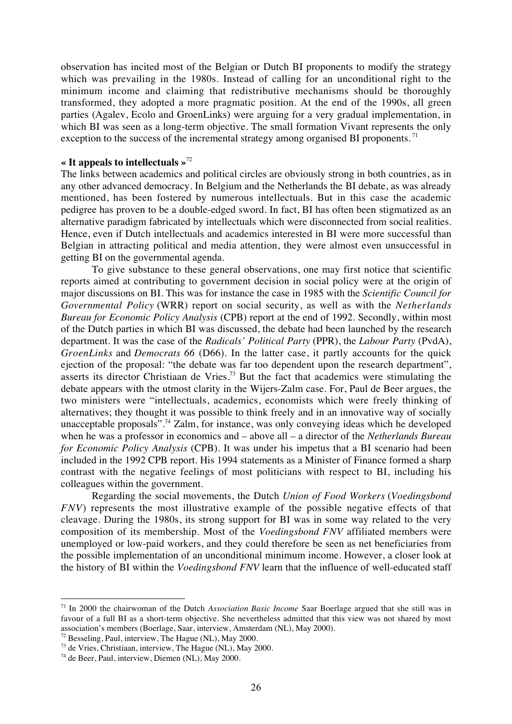observation has incited most of the Belgian or Dutch BI proponents to modify the strategy which was prevailing in the 1980s. Instead of calling for an unconditional right to the minimum income and claiming that redistributive mechanisms should be thoroughly transformed, they adopted a more pragmatic position. At the end of the 1990s, all green parties (Agalev, Ecolo and GroenLinks) were arguing for a very gradual implementation, in which BI was seen as a long-term objective. The small formation Vivant represents the only exception to the success of the incremental strategy among organised BI proponents.<sup>71</sup>

# **« It appeals to intellectuals »**<sup>72</sup>

The links between academics and political circles are obviously strong in both countries, as in any other advanced democracy. In Belgium and the Netherlands the BI debate, as was already mentioned, has been fostered by numerous intellectuals. But in this case the academic pedigree has proven to be a double-edged sword. In fact, BI has often been stigmatized as an alternative paradigm fabricated by intellectuals which were disconnected from social realities. Hence, even if Dutch intellectuals and academics interested in BI were more successful than Belgian in attracting political and media attention, they were almost even unsuccessful in getting BI on the governmental agenda.

To give substance to these general observations, one may first notice that scientific reports aimed at contributing to government decision in social policy were at the origin of major discussions on BI. This was for instance the case in 1985 with the *Scientific Council for Governmental Policy* (WRR) report on social security, as well as with the *Netherlands Bureau for Economic Policy Analysis* (CPB) report at the end of 1992. Secondly, within most of the Dutch parties in which BI was discussed, the debate had been launched by the research department. It was the case of the *Radicals' Political Party* (PPR), the *Labour Party* (PvdA), *GroenLinks* and *Democrats 66* (D66). In the latter case, it partly accounts for the quick ejection of the proposal: "the debate was far too dependent upon the research department", asserts its director Christiaan de Vries.<sup>73</sup> But the fact that academics were stimulating the debate appears with the utmost clarity in the Wijers-Zalm case. For, Paul de Beer argues, the two ministers were "intellectuals, academics, economists which were freely thinking of alternatives; they thought it was possible to think freely and in an innovative way of socially unacceptable proposals".<sup>74</sup> Zalm, for instance, was only conveying ideas which he developed when he was a professor in economics and – above all – a director of the *Netherlands Bureau for Economic Policy Analysis* (CPB). It was under his impetus that a BI scenario had been included in the 1992 CPB report. His 1994 statements as a Minister of Finance formed a sharp contrast with the negative feelings of most politicians with respect to BI, including his colleagues within the government.

Regarding the social movements, the Dutch *Union of Food Workers* (*Voedingsbond FNV*) represents the most illustrative example of the possible negative effects of that cleavage. During the 1980s, its strong support for BI was in some way related to the very composition of its membership. Most of the *Voedingsbond FNV* affiliated members were unemployed or low-paid workers, and they could therefore be seen as net beneficiaries from the possible implementation of an unconditional minimum income. However, a closer look at the history of BI within the *Voedingsbond FNV* learn that the influence of well-educated staff

<sup>71</sup> In 2000 the chairwoman of the Dutch *Association Basic Income* Saar Boerlage argued that she still was in favour of a full BI as a short-term objective. She nevertheless admitted that this view was not shared by most association's members (Boerlage, Saar, interview, Amsterdam (NL), May 2000).

<sup>72</sup> Besseling, Paul, interview, The Hague (NL), May 2000.

<sup>73</sup> de Vries, Christiaan, interview, The Hague (NL), May 2000.

<sup>74</sup> de Beer, Paul, interview, Diemen (NL), May 2000.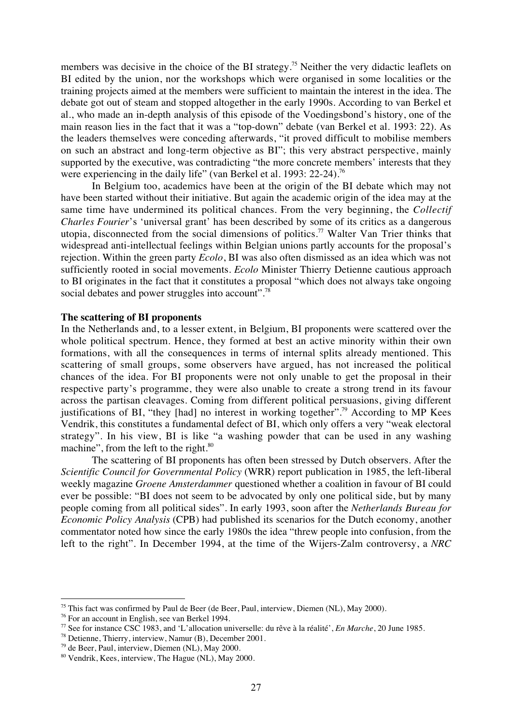members was decisive in the choice of the BI strategy.<sup>75</sup> Neither the very didactic leaflets on BI edited by the union, nor the workshops which were organised in some localities or the training projects aimed at the members were sufficient to maintain the interest in the idea. The debate got out of steam and stopped altogether in the early 1990s. According to van Berkel et al., who made an in-depth analysis of this episode of the Voedingsbond's history, one of the main reason lies in the fact that it was a "top-down" debate (van Berkel et al. 1993: 22). As the leaders themselves were conceding afterwards, "it proved difficult to mobilise members on such an abstract and long-term objective as BI"; this very abstract perspective, mainly supported by the executive, was contradicting "the more concrete members' interests that they were experiencing in the daily life" (van Berkel et al. 1993: 22-24).<sup>76</sup>

In Belgium too, academics have been at the origin of the BI debate which may not have been started without their initiative. But again the academic origin of the idea may at the same time have undermined its political chances. From the very beginning, the *Collectif Charles Fourier*'s 'universal grant' has been described by some of its critics as a dangerous utopia, disconnected from the social dimensions of politics.<sup>77</sup> Walter Van Trier thinks that widespread anti-intellectual feelings within Belgian unions partly accounts for the proposal's rejection. Within the green party *Ecolo*, BI was also often dismissed as an idea which was not sufficiently rooted in social movements. *Ecolo* Minister Thierry Detienne cautious approach to BI originates in the fact that it constitutes a proposal "which does not always take ongoing social debates and power struggles into account".<sup>78</sup>

# **The scattering of BI proponents**

In the Netherlands and, to a lesser extent, in Belgium, BI proponents were scattered over the whole political spectrum. Hence, they formed at best an active minority within their own formations, with all the consequences in terms of internal splits already mentioned. This scattering of small groups, some observers have argued, has not increased the political chances of the idea. For BI proponents were not only unable to get the proposal in their respective party's programme, they were also unable to create a strong trend in its favour across the partisan cleavages. Coming from different political persuasions, giving different justifications of BI, "they [had] no interest in working together".<sup>79</sup> According to MP Kees Vendrik, this constitutes a fundamental defect of BI, which only offers a very "weak electoral strategy". In his view, BI is like "a washing powder that can be used in any washing machine", from the left to the right. $80$ 

The scattering of BI proponents has often been stressed by Dutch observers. After the *Scientific Council for Governmental Policy* (WRR) report publication in 1985, the left-liberal weekly magazine *Groene Amsterdammer* questioned whether a coalition in favour of BI could ever be possible: "BI does not seem to be advocated by only one political side, but by many people coming from all political sides". In early 1993, soon after the *Netherlands Bureau for Economic Policy Analysis* (CPB) had published its scenarios for the Dutch economy, another commentator noted how since the early 1980s the idea "threw people into confusion, from the left to the right". In December 1994, at the time of the Wijers-Zalm controversy, a *NRC*

<sup>&</sup>lt;sup>75</sup> This fact was confirmed by Paul de Beer (de Beer, Paul, interview, Diemen (NL), May 2000).

<sup>76</sup> For an account in English, see van Berkel 1994.

<sup>77</sup> See for instance CSC 1983, and 'L'allocation universelle: du rêve à la réalité', *En Marche*, 20 June 1985.

<sup>78</sup> Detienne, Thierry, interview, Namur (B), December 2001.

<sup>79</sup> de Beer, Paul, interview, Diemen (NL), May 2000.

<sup>80</sup> Vendrik, Kees, interview, The Hague (NL), May 2000.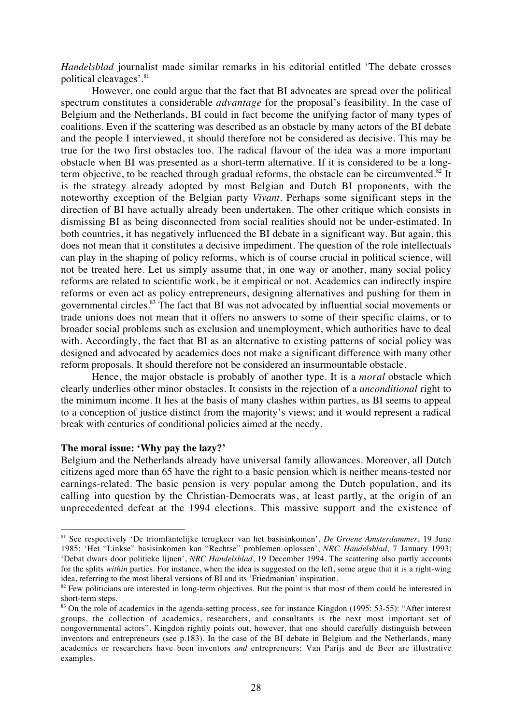*Handelsblad* journalist made similar remarks in his editorial entitled 'The debate crosses political cleavages'.81

However, one could argue that the fact that BI advocates are spread over the political spectrum constitutes a considerable *advantage* for the proposal's feasibility. In the case of Belgium and the Netherlands, BI could in fact become the unifying factor of many types of coalitions. Even if the scattering was described as an obstacle by many actors of the BI debate and the people I interviewed, it should therefore not be considered as decisive. This may be true for the two first obstacles too. The radical flavour of the idea was a more important obstacle when BI was presented as a short-term alternative. If it is considered to be a longterm objective, to be reached through gradual reforms, the obstacle can be circumvented. $82$  It is the strategy already adopted by most Belgian and Dutch BI proponents, with the noteworthy exception of the Belgian party *Vivant*. Perhaps some significant steps in the direction of BI have actually already been undertaken. The other critique which consists in dismissing BI as being disconnected from social realities should not be under-estimated. In both countries, it has negatively influenced the BI debate in a significant way. But again, this does not mean that it constitutes a decisive impediment. The question of the role intellectuals can play in the shaping of policy reforms, which is of course crucial in political science, will not be treated here. Let us simply assume that, in one way or another, many social policy reforms are related to scientific work, be it empirical or not. Academics can indirectly inspire reforms or even act as policy entrepreneurs, designing alternatives and pushing for them in governmental circles.<sup>83</sup> The fact that BI was not advocated by influential social movements or trade unions does not mean that it offers no answers to some of their specific claims, or to broader social problems such as exclusion and unemployment, which authorities have to deal with. Accordingly, the fact that BI as an alternative to existing patterns of social policy was designed and advocated by academics does not make a significant difference with many other reform proposals. It should therefore not be considered an insurmountable obstacle.

Hence, the major obstacle is probably of another type. It is a *moral* obstacle which clearly underlies other minor obstacles. It consists in the rejection of a *unconditional* right to the minimum income. It lies at the basis of many clashes within parties, as BI seems to appeal to a conception of justice distinct from the majority's views; and it would represent a radical break with centuries of conditional policies aimed at the needy.

# **The moral issue: 'Why pay the lazy?'**

 $\overline{a}$ 

Belgium and the Netherlands already have universal family allowances. Moreover, all Dutch citizens aged more than 65 have the right to a basic pension which is neither means-tested nor earnings-related. The basic pension is very popular among the Dutch population, and its calling into question by the Christian-Democrats was, at least partly, at the origin of an unprecedented defeat at the 1994 elections. This massive support and the existence of

<sup>81</sup> See respectively 'De triomfantelijke terugkeer van het basisinkomen', *De Groene Amsterdammer*, 19 June 1985; 'Het "Linkse" basisinkomen kan "Rechtse" problemen oplossen', *NRC Handelsblad*, 7 January 1993; 'Debat dwars door politieke lijnen', *NRC Handelsblad*, 19 December 1994. The scattering also partly accounts for the splits *within* parties. For instance, when the idea is suggested on the left, some argue that it is a right-wing idea, referring to the most liberal versions of BI and its 'Friedmanian' inspiration.

 $82$  Few politicians are interested in long-term objectives. But the point is that most of them could be interested in short-term steps.

<sup>83</sup> On the role of academics in the agenda-setting process, see for instance Kingdon (1995: 53-55): "After interest groups, the collection of academics, researchers, and consultants is the next most important set of nongovernmental actors". Kingdon rightly points out, however, that one should carefully distinguish between inventors and entrepreneurs (see p.183). In the case of the BI debate in Belgium and the Netherlands, many academics or researchers have been inventors *and* entrepreneurs; Van Parijs and de Beer are illustrative examples.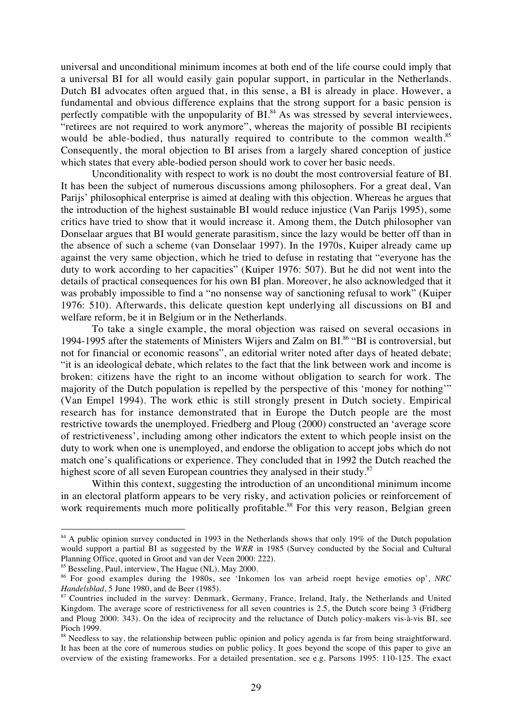universal and unconditional minimum incomes at both end of the life course could imply that a universal BI for all would easily gain popular support, in particular in the Netherlands. Dutch BI advocates often argued that, in this sense, a BI is already in place. However, a fundamental and obvious difference explains that the strong support for a basic pension is perfectly compatible with the unpopularity of  $BI<sup>84</sup>$ . As was stressed by several interviewees, "retirees are not required to work anymore", whereas the majority of possible BI recipients would be able-bodied, thus naturally required to contribute to the common wealth.<sup>85</sup> Consequently, the moral objection to BI arises from a largely shared conception of justice which states that every able-bodied person should work to cover her basic needs.

Unconditionality with respect to work is no doubt the most controversial feature of BI. It has been the subject of numerous discussions among philosophers. For a great deal, Van Parijs' philosophical enterprise is aimed at dealing with this objection. Whereas he argues that the introduction of the highest sustainable BI would reduce injustice (Van Parijs 1995), some critics have tried to show that it would increase it. Among them, the Dutch philosopher van Donselaar argues that BI would generate parasitism, since the lazy would be better off than in the absence of such a scheme (van Donselaar 1997). In the 1970s, Kuiper already came up against the very same objection, which he tried to defuse in restating that "everyone has the duty to work according to her capacities" (Kuiper 1976: 507). But he did not went into the details of practical consequences for his own BI plan. Moreover, he also acknowledged that it was probably impossible to find a "no nonsense way of sanctioning refusal to work" (Kuiper 1976: 510). Afterwards, this delicate question kept underlying all discussions on BI and welfare reform, be it in Belgium or in the Netherlands.

To take a single example, the moral objection was raised on several occasions in 1994-1995 after the statements of Ministers Wijers and Zalm on BI.<sup>86</sup> "BI is controversial, but not for financial or economic reasons", an editorial writer noted after days of heated debate; "it is an ideological debate, which relates to the fact that the link between work and income is broken: citizens have the right to an income without obligation to search for work. The majority of the Dutch population is repelled by the perspective of this 'money for nothing'" (Van Empel 1994). The work ethic is still strongly present in Dutch society. Empirical research has for instance demonstrated that in Europe the Dutch people are the most restrictive towards the unemployed. Friedberg and Ploug (2000) constructed an 'average score of restrictiveness', including among other indicators the extent to which people insist on the duty to work when one is unemployed, and endorse the obligation to accept jobs which do not match one's qualifications or experience. They concluded that in 1992 the Dutch reached the highest score of all seven European countries they analysed in their study.<sup>87</sup>

Within this context, suggesting the introduction of an unconditional minimum income in an electoral platform appears to be very risky, and activation policies or reinforcement of work requirements much more politically profitable.<sup>88</sup> For this very reason, Belgian green

<sup>&</sup>lt;sup>84</sup> A public opinion survey conducted in 1993 in the Netherlands shows that only 19% of the Dutch population would support a partial BI as suggested by the *WRR* in 1985 (Survey conducted by the Social and Cultural Planning Office, quoted in Groot and van der Veen 2000: 222).

<sup>&</sup>lt;sup>85</sup> Besseling, Paul, interview, The Hague (NL), May 2000.

<sup>86</sup> For good examples during the 1980s, see 'Inkomen los van arbeid roept hevige emoties op', *NRC Handelsblad*, 5 June 1980, and de Beer (1985).

<sup>&</sup>lt;sup>87</sup> Countries included in the survey: Denmark, Germany, France, Ireland, Italy, the Netherlands and United Kingdom. The average score of restrictiveness for all seven countries is 2.5, the Dutch score being 3 (Fridberg and Ploug 2000: 343). On the idea of reciprocity and the reluctance of Dutch policy-makers vis-à-vis BI, see Pioch 1999.

<sup>&</sup>lt;sup>88</sup> Needless to say, the relationship between public opinion and policy agenda is far from being straightforward. It has been at the core of numerous studies on public policy. It goes beyond the scope of this paper to give an overview of the existing frameworks. For a detailed presentation, see e.g. Parsons 1995: 110-125. The exact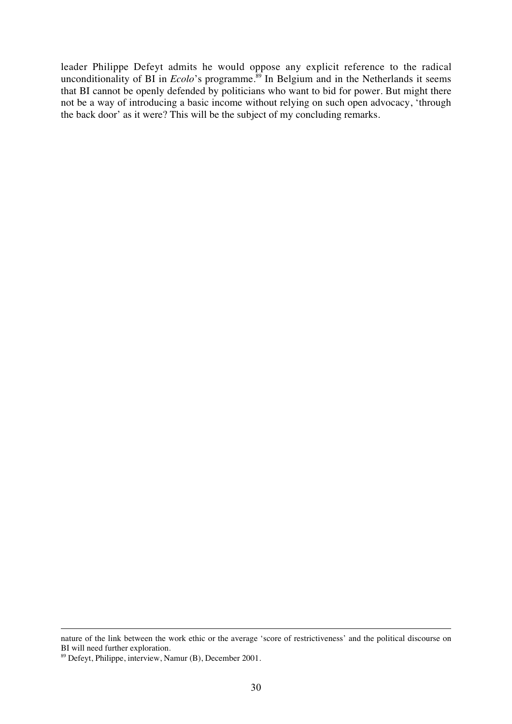leader Philippe Defeyt admits he would oppose any explicit reference to the radical unconditionality of BI in *Ecolo*'s programme.<sup>89</sup> In Belgium and in the Netherlands it seems that BI cannot be openly defended by politicians who want to bid for power. But might there not be a way of introducing a basic income without relying on such open advocacy, 'through the back door' as it were? This will be the subject of my concluding remarks.

<u>.</u>

nature of the link between the work ethic or the average 'score of restrictiveness' and the political discourse on BI will need further exploration.

<sup>89</sup> Defeyt, Philippe, interview, Namur (B), December 2001.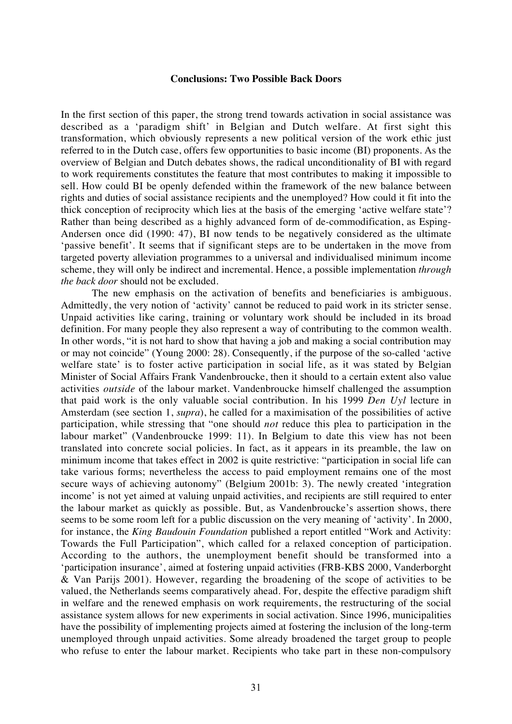#### **Conclusions: Two Possible Back Doors**

In the first section of this paper, the strong trend towards activation in social assistance was described as a 'paradigm shift' in Belgian and Dutch welfare. At first sight this transformation, which obviously represents a new political version of the work ethic just referred to in the Dutch case, offers few opportunities to basic income (BI) proponents. As the overview of Belgian and Dutch debates shows, the radical unconditionality of BI with regard to work requirements constitutes the feature that most contributes to making it impossible to sell. How could BI be openly defended within the framework of the new balance between rights and duties of social assistance recipients and the unemployed? How could it fit into the thick conception of reciprocity which lies at the basis of the emerging 'active welfare state'? Rather than being described as a highly advanced form of de-commodification, as Esping-Andersen once did (1990: 47), BI now tends to be negatively considered as the ultimate 'passive benefit'. It seems that if significant steps are to be undertaken in the move from targeted poverty alleviation programmes to a universal and individualised minimum income scheme, they will only be indirect and incremental. Hence, a possible implementation *through the back door* should not be excluded.

The new emphasis on the activation of benefits and beneficiaries is ambiguous. Admittedly, the very notion of 'activity' cannot be reduced to paid work in its stricter sense. Unpaid activities like caring, training or voluntary work should be included in its broad definition. For many people they also represent a way of contributing to the common wealth. In other words, "it is not hard to show that having a job and making a social contribution may or may not coincide" (Young 2000: 28). Consequently, if the purpose of the so-called 'active welfare state' is to foster active participation in social life, as it was stated by Belgian Minister of Social Affairs Frank Vandenbroucke, then it should to a certain extent also value activities *outside* of the labour market. Vandenbroucke himself challenged the assumption that paid work is the only valuable social contribution. In his 1999 *Den Uyl* lecture in Amsterdam (see section 1, *supra*), he called for a maximisation of the possibilities of active participation, while stressing that "one should *not* reduce this plea to participation in the labour market" (Vandenbroucke 1999: 11). In Belgium to date this view has not been translated into concrete social policies. In fact, as it appears in its preamble, the law on minimum income that takes effect in 2002 is quite restrictive: "participation in social life can take various forms; nevertheless the access to paid employment remains one of the most secure ways of achieving autonomy" (Belgium 2001b: 3). The newly created 'integration income' is not yet aimed at valuing unpaid activities, and recipients are still required to enter the labour market as quickly as possible. But, as Vandenbroucke's assertion shows, there seems to be some room left for a public discussion on the very meaning of 'activity'. In 2000, for instance, the *King Baudouin Foundation* published a report entitled "Work and Activity: Towards the Full Participation", which called for a relaxed conception of participation. According to the authors, the unemployment benefit should be transformed into a 'participation insurance', aimed at fostering unpaid activities (FRB-KBS 2000, Vanderborght & Van Parijs 2001). However, regarding the broadening of the scope of activities to be valued, the Netherlands seems comparatively ahead. For, despite the effective paradigm shift in welfare and the renewed emphasis on work requirements, the restructuring of the social assistance system allows for new experiments in social activation. Since 1996, municipalities have the possibility of implementing projects aimed at fostering the inclusion of the long-term unemployed through unpaid activities. Some already broadened the target group to people who refuse to enter the labour market. Recipients who take part in these non-compulsory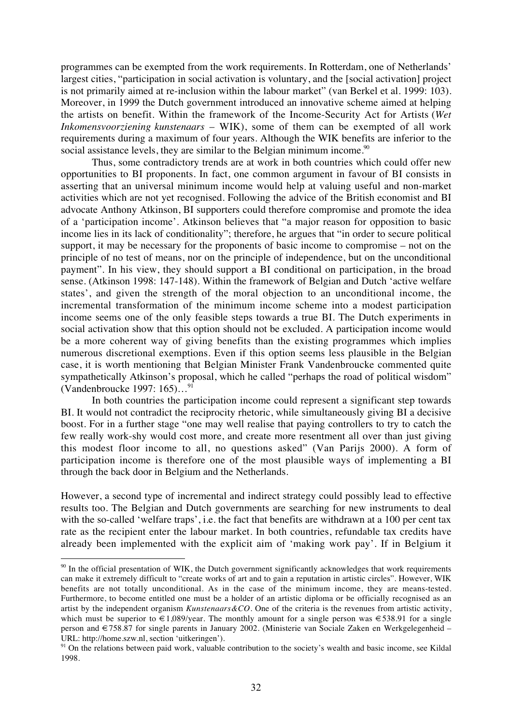programmes can be exempted from the work requirements. In Rotterdam, one of Netherlands' largest cities, "participation in social activation is voluntary, and the [social activation] project is not primarily aimed at re-inclusion within the labour market" (van Berkel et al. 1999: 103). Moreover, in 1999 the Dutch government introduced an innovative scheme aimed at helping the artists on benefit. Within the framework of the Income-Security Act for Artists (*Wet Inkomensvoorziening kunstenaars* – WIK), some of them can be exempted of all work requirements during a maximum of four years. Although the WIK benefits are inferior to the social assistance levels, they are similar to the Belgian minimum income.<sup>90</sup>

Thus, some contradictory trends are at work in both countries which could offer new opportunities to BI proponents. In fact, one common argument in favour of BI consists in asserting that an universal minimum income would help at valuing useful and non-market activities which are not yet recognised. Following the advice of the British economist and BI advocate Anthony Atkinson, BI supporters could therefore compromise and promote the idea of a 'participation income'. Atkinson believes that "a major reason for opposition to basic income lies in its lack of conditionality"; therefore, he argues that "in order to secure political support, it may be necessary for the proponents of basic income to compromise – not on the principle of no test of means, nor on the principle of independence, but on the unconditional payment". In his view, they should support a BI conditional on participation, in the broad sense. (Atkinson 1998: 147-148). Within the framework of Belgian and Dutch 'active welfare states', and given the strength of the moral objection to an unconditional income, the incremental transformation of the minimum income scheme into a modest participation income seems one of the only feasible steps towards a true BI. The Dutch experiments in social activation show that this option should not be excluded. A participation income would be a more coherent way of giving benefits than the existing programmes which implies numerous discretional exemptions. Even if this option seems less plausible in the Belgian case, it is worth mentioning that Belgian Minister Frank Vandenbroucke commented quite sympathetically Atkinson's proposal, which he called "perhaps the road of political wisdom" (Vandenbroucke 1997: 165)…91

In both countries the participation income could represent a significant step towards BI. It would not contradict the reciprocity rhetoric, while simultaneously giving BI a decisive boost. For in a further stage "one may well realise that paying controllers to try to catch the few really work-shy would cost more, and create more resentment all over than just giving this modest floor income to all, no questions asked" (Van Parijs 2000). A form of participation income is therefore one of the most plausible ways of implementing a BI through the back door in Belgium and the Netherlands.

However, a second type of incremental and indirect strategy could possibly lead to effective results too. The Belgian and Dutch governments are searching for new instruments to deal with the so-called 'welfare traps', i.e. the fact that benefits are withdrawn at a 100 per cent tax rate as the recipient enter the labour market. In both countries, refundable tax credits have already been implemented with the explicit aim of 'making work pay'. If in Belgium it

<sup>&</sup>lt;sup>90</sup> In the official presentation of WIK, the Dutch government significantly acknowledges that work requirements can make it extremely difficult to "create works of art and to gain a reputation in artistic circles". However, WIK benefits are not totally unconditional. As in the case of the minimum income, they are means-tested. Furthermore, to become entitled one must be a holder of an artistic diploma or be officially recognised as an artist by the independent organism *Kunstenaars&CO*. One of the criteria is the revenues from artistic activity, which must be superior to  $\epsilon$ 1,089/year. The monthly amount for a single person was  $\epsilon$ 538.91 for a single person and €758.87 for single parents in January 2002. (Ministerie van Sociale Zaken en Werkgelegenheid – URL: http://home.szw.nl, section 'uitkeringen').

<sup>&</sup>lt;sup>91</sup> On the relations between paid work, valuable contribution to the society's wealth and basic income, see Kildal 1998.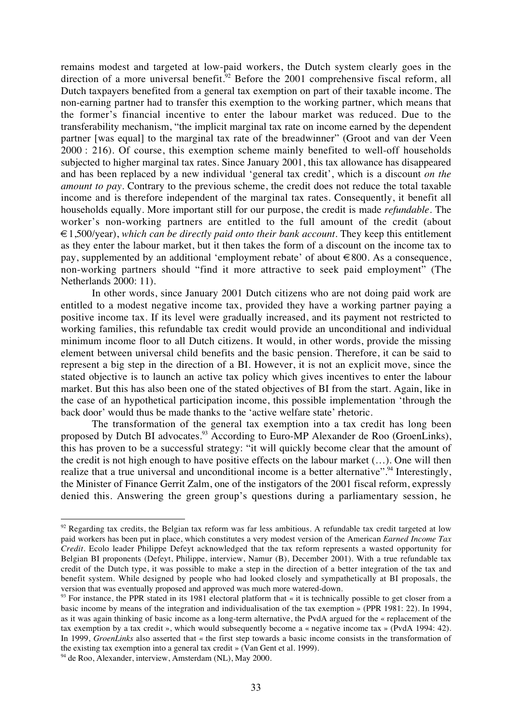remains modest and targeted at low-paid workers, the Dutch system clearly goes in the direction of a more universal benefit.<sup>92</sup> Before the 2001 comprehensive fiscal reform, all Dutch taxpayers benefited from a general tax exemption on part of their taxable income. The non-earning partner had to transfer this exemption to the working partner, which means that the former's financial incentive to enter the labour market was reduced. Due to the transferability mechanism, "the implicit marginal tax rate on income earned by the dependent partner [was equal] to the marginal tax rate of the breadwinner" (Groot and van der Veen 2000 : 216). Of course, this exemption scheme mainly benefited to well-off households subjected to higher marginal tax rates. Since January 2001, this tax allowance has disappeared and has been replaced by a new individual 'general tax credit', which is a discount *on the amount to pay*. Contrary to the previous scheme, the credit does not reduce the total taxable income and is therefore independent of the marginal tax rates. Consequently, it benefit all households equally. More important still for our purpose, the credit is made *refundable*. The worker's non-working partners are entitled to the full amount of the credit (about €1,500/year), *which can be directly paid onto their bank account*. They keep this entitlement as they enter the labour market, but it then takes the form of a discount on the income tax to pay, supplemented by an additional 'employment rebate' of about  $\in 800$ . As a consequence, non-working partners should "find it more attractive to seek paid employment" (The Netherlands 2000: 11).

In other words, since January 2001 Dutch citizens who are not doing paid work are entitled to a modest negative income tax, provided they have a working partner paying a positive income tax. If its level were gradually increased, and its payment not restricted to working families, this refundable tax credit would provide an unconditional and individual minimum income floor to all Dutch citizens. It would, in other words, provide the missing element between universal child benefits and the basic pension. Therefore, it can be said to represent a big step in the direction of a BI. However, it is not an explicit move, since the stated objective is to launch an active tax policy which gives incentives to enter the labour market. But this has also been one of the stated objectives of BI from the start. Again, like in the case of an hypothetical participation income, this possible implementation 'through the back door' would thus be made thanks to the 'active welfare state' rhetoric.

The transformation of the general tax exemption into a tax credit has long been proposed by Dutch BI advocates.<sup>93</sup> According to Euro-MP Alexander de Roo (GroenLinks), this has proven to be a successful strategy: "it will quickly become clear that the amount of the credit is not high enough to have positive effects on the labour market (…). One will then realize that a true universal and unconditional income is a better alternative". Interestingly, the Minister of Finance Gerrit Zalm, one of the instigators of the 2001 fiscal reform, expressly denied this. Answering the green group's questions during a parliamentary session, he

 $92$  Regarding tax credits, the Belgian tax reform was far less ambitious. A refundable tax credit targeted at low paid workers has been put in place, which constitutes a very modest version of the American *Earned Income Tax Credit.* Ecolo leader Philippe Defeyt acknowledged that the tax reform represents a wasted opportunity for Belgian BI proponents (Defeyt, Philippe, interview, Namur (B), December 2001). With a true refundable tax credit of the Dutch type, it was possible to make a step in the direction of a better integration of the tax and benefit system. While designed by people who had looked closely and sympathetically at BI proposals, the version that was eventually proposed and approved was much more watered-down.

 $^{93}$  For instance, the PPR stated in its 1981 electoral platform that « it is technically possible to get closer from a basic income by means of the integration and individualisation of the tax exemption » (PPR 1981: 22). In 1994, as it was again thinking of basic income as a long-term alternative, the PvdA argued for the « replacement of the tax exemption by a tax credit », which would subsequently become a « negative income tax » (PvdA 1994: 42). In 1999, *GroenLinks* also asserted that « the first step towards a basic income consists in the transformation of the existing tax exemption into a general tax credit » (Van Gent et al. 1999).

 $94$  de Roo, Alexander, interview, Amsterdam (NL), May 2000.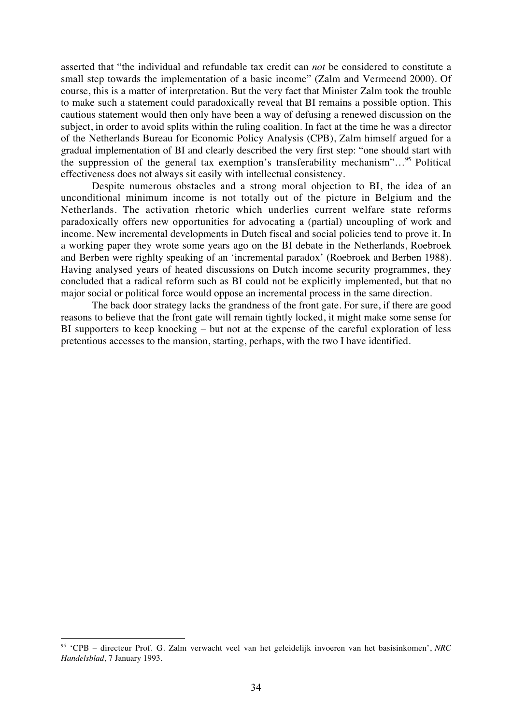asserted that "the individual and refundable tax credit can *not* be considered to constitute a small step towards the implementation of a basic income" (Zalm and Vermeend 2000). Of course, this is a matter of interpretation. But the very fact that Minister Zalm took the trouble to make such a statement could paradoxically reveal that BI remains a possible option. This cautious statement would then only have been a way of defusing a renewed discussion on the subject, in order to avoid splits within the ruling coalition. In fact at the time he was a director of the Netherlands Bureau for Economic Policy Analysis (CPB), Zalm himself argued for a gradual implementation of BI and clearly described the very first step: "one should start with the suppression of the general tax exemption's transferability mechanism"...<sup>95</sup> Political effectiveness does not always sit easily with intellectual consistency.

Despite numerous obstacles and a strong moral objection to BI, the idea of an unconditional minimum income is not totally out of the picture in Belgium and the Netherlands. The activation rhetoric which underlies current welfare state reforms paradoxically offers new opportunities for advocating a (partial) uncoupling of work and income. New incremental developments in Dutch fiscal and social policies tend to prove it. In a working paper they wrote some years ago on the BI debate in the Netherlands, Roebroek and Berben were righlty speaking of an 'incremental paradox' (Roebroek and Berben 1988). Having analysed years of heated discussions on Dutch income security programmes, they concluded that a radical reform such as BI could not be explicitly implemented, but that no major social or political force would oppose an incremental process in the same direction.

The back door strategy lacks the grandness of the front gate. For sure, if there are good reasons to believe that the front gate will remain tightly locked, it might make some sense for BI supporters to keep knocking – but not at the expense of the careful exploration of less pretentious accesses to the mansion, starting, perhaps, with the two I have identified.

<sup>95</sup> 'CPB – directeur Prof. G. Zalm verwacht veel van het geleidelijk invoeren van het basisinkomen', *NRC Handelsblad*, 7 January 1993.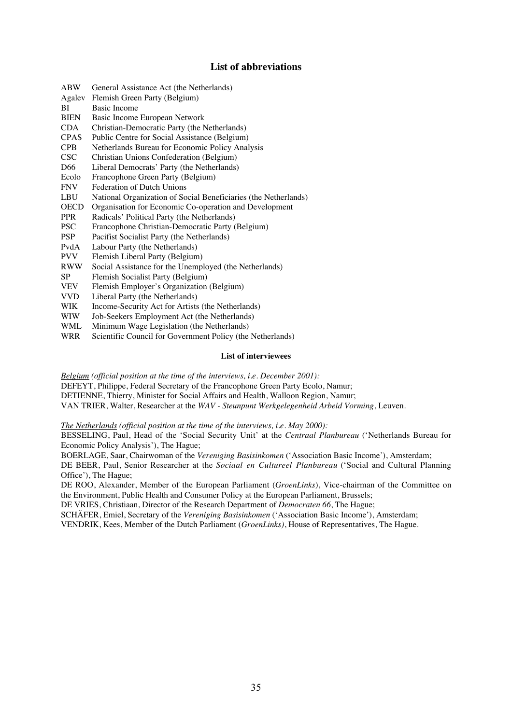# **List of abbreviations**

- ABW General Assistance Act (the Netherlands)
- Agalev Flemish Green Party (Belgium)
- BI Basic Income
- BIEN Basic Income European Network
- CDA Christian-Democratic Party (the Netherlands)
- CPAS Public Centre for Social Assistance (Belgium)
- CPB Netherlands Bureau for Economic Policy Analysis
- Christian Unions Confederation (Belgium)
- D66 Liberal Democrats' Party (the Netherlands)
- Ecolo Francophone Green Party (Belgium)<br>FNV Federation of Dutch Unions
- Federation of Dutch Unions
- LBU National Organization of Social Beneficiaries (the Netherlands)
- OECD Organisation for Economic Co-operation and Development
- PPR Radicals' Political Party (the Netherlands)
- PSC Francophone Christian-Democratic Party (Belgium)
- PSP Pacifist Socialist Party (the Netherlands)
- PvdA Labour Party (the Netherlands)
- PVV Flemish Liberal Party (Belgium)
- RWW Social Assistance for the Unemployed (the Netherlands)
- SP Flemish Socialist Party (Belgium)
- VEV Flemish Employer's Organization (Belgium)
- VVD Liberal Party (the Netherlands)
- WIK Income-Security Act for Artists (the Netherlands)
- WIW Job-Seekers Employment Act (the Netherlands)<br>WML Minimum Wage Legislation (the Netherlands)
- Minimum Wage Legislation (the Netherlands)
- WRR Scientific Council for Government Policy (the Netherlands)

#### **List of interviewees**

*Belgium (official position at the time of the interviews, i.e. December 2001):*

DEFEYT, Philippe, Federal Secretary of the Francophone Green Party Ecolo, Namur;

DETIENNE, Thierry, Minister for Social Affairs and Health, Walloon Region, Namur;

VAN TRIER, Walter, Researcher at the *WAV - Steunpunt Werkgelegenheid Arbeid Vorming*, Leuven.

*The Netherlands (official position at the time of the interviews, i.e. May 2000):*

BESSELING, Paul, Head of the 'Social Security Unit' at the *Centraal Planbureau* ('Netherlands Bureau for Economic Policy Analysis'), The Hague;

BOERLAGE, Saar, Chairwoman of the *Vereniging Basisinkomen* ('Association Basic Income'), Amsterdam; DE BEER, Paul, Senior Researcher at the *Sociaal en Cultureel Planbureau* ('Social and Cultural Planning Office'), The Hague;

DE ROO, Alexander, Member of the European Parliament (*GroenLinks*), Vice-chairman of the Committee on the Environment, Public Health and Consumer Policy at the European Parliament, Brussels;

DE VRIES, Christiaan, Director of the Research Department of *Democraten 66*, The Hague;

SCHÄFER, Emiel, Secretary of the *Vereniging Basisinkomen* ('Association Basic Income'), Amsterdam; VENDRIK, Kees, Member of the Dutch Parliament (*GroenLinks)*, House of Representatives, The Hague.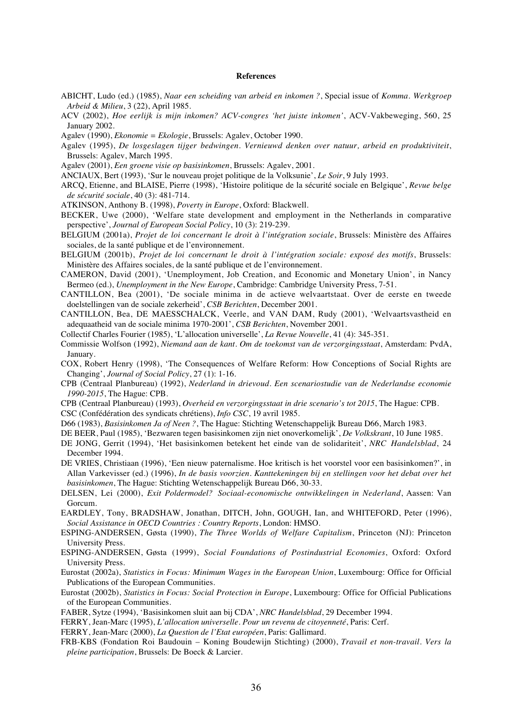#### **References**

- ABICHT, Ludo (ed.) (1985), *Naar een scheiding van arbeid en inkomen ?*, Special issue of *Komma. Werkgroep Arbeid & Milieu*, 3 (22), April 1985.
- ACV (2002), *Hoe eerlijk is mijn inkomen? ACV-congres 'het juiste inkomen'*, ACV-Vakbeweging, 560, 25 January 2002.
- Agalev (1990), *Ekonomie = Ekologie*, Brussels: Agalev, October 1990.
- Agalev (1995), *De losgeslagen tijger bedwingen. Vernieuwd denken over natuur, arbeid en produktiviteit*, Brussels: Agalev, March 1995.
- Agalev (2001), *Een groene visie op basisinkomen*, Brussels: Agalev, 2001.
- ANCIAUX, Bert (1993), 'Sur le nouveau projet politique de la Volksunie', *Le Soir*, 9 July 1993.
- ARCQ, Etienne, and BLAISE, Pierre (1998), 'Histoire politique de la sécurité sociale en Belgique', *Revue belge de sécurité sociale*, 40 (3): 481-714.
- ATKINSON, Anthony B. (1998), *Poverty in Europe*, Oxford: Blackwell.
- BECKER, Uwe (2000), 'Welfare state development and employment in the Netherlands in comparative perspective', *Journal of European Social Policy*, 10 (3): 219-239.
- BELGIUM (2001a), *Projet de loi concernant le droit à l'intégration sociale*, Brussels: Ministère des Affaires sociales, de la santé publique et de l'environnement.
- BELGIUM (2001b), *Projet de loi concernant le droit à l'intégration sociale: exposé des motifs*, Brussels: Ministère des Affaires sociales, de la santé publique et de l'environnement.
- CAMERON, David (2001), 'Unemployment, Job Creation, and Economic and Monetary Union', in Nancy Bermeo (ed.), *Unemployment in the New Europe*, Cambridge: Cambridge University Press, 7-51.
- CANTILLON, Bea (2001), 'De sociale minima in de actieve welvaartstaat. Over de eerste en tweede doelstellingen van de sociale zekerheid', *CSB Berichten*, December 2001.
- CANTILLON, Bea, DE MAESSCHALCK, Veerle, and VAN DAM, Rudy (2001), 'Welvaartsvastheid en adequaatheid van de sociale minima 1970-2001', *CSB Berichten*, November 2001.
- Collectif Charles Fourier (1985), 'L'allocation universelle', *La Revue Nouvelle*, 41 (4): 345-351.
- Commissie Wolfson (1992), *Niemand aan de kant. Om de toekomst van de verzorgingsstaat*, Amsterdam: PvdA, January.
- COX, Robert Henry (1998), 'The Consequences of Welfare Reform: How Conceptions of Social Rights are Changing', *Journal of Social Policy*, 27 (1): 1-16.
- CPB (Centraal Planbureau) (1992), *Nederland in drievoud. Een scenariostudie van de Nederlandse economie 1990-2015*, The Hague: CPB.
- CPB (Centraal Planbureau) (1993), *Overheid en verzorgingsstaat in drie scenario's tot 2015*, The Hague: CPB.
- CSC (Confédération des syndicats chrétiens), *Info CSC*, 19 avril 1985.
- D66 (1983), *Basisinkomen Ja of Neen ?*, The Hague: Stichting Wetenschappelijk Bureau D66, March 1983.
- DE BEER, Paul (1985), 'Bezwaren tegen basisinkomen zijn niet onoverkomelijk', *De Volkskrant*, 10 June 1985.
- DE JONG, Gerrit (1994), 'Het basisinkomen betekent het einde van de solidariteit', *NRC Handelsblad*, 24 December 1994.
- DE VRIES, Christiaan (1996), 'Een nieuw paternalisme. Hoe kritisch is het voorstel voor een basisinkomen?', in Allan Varkevisser (ed.) (1996), *In de basis voorzien. Kanttekeningen bij en stellingen voor het debat over het basisinkomen*, The Hague: Stichting Wetenschappelijk Bureau D66, 30-33.
- DELSEN, Lei (2000), *Exit Poldermodel? Sociaal-economische ontwikkelingen in Nederland*, Aassen: Van Gorcum.
- EARDLEY, Tony, BRADSHAW, Jonathan, DITCH, John, GOUGH, Ian, and WHITEFORD, Peter (1996), *Social Assistance in OECD Countries : Country Reports*, London: HMSO.
- ESPING-ANDERSEN, Gøsta (1990), *The Three Worlds of Welfare Capitalism*, Princeton (NJ): Princeton University Press.
- ESPING-ANDERSEN, Gøsta (1999), *Social Foundations of Postindustrial Economies*, Oxford: Oxford University Press.
- Eurostat (2002a), *Statistics in Focus: Minimum Wages in the European Union*, Luxembourg: Office for Official Publications of the European Communities.
- Eurostat (2002b), *Statistics in Focus: Social Protection in Europe*, Luxembourg: Office for Official Publications of the European Communities.
- FABER, Sytze (1994), 'Basisinkomen sluit aan bij CDA', *NRC Handelsblad*, 29 December 1994.
- FERRY, Jean-Marc (1995), *L'allocation universelle. Pour un revenu de citoyenneté*, Paris: Cerf.
- FERRY, Jean-Marc (2000), *La Question de l'Etat européen*, Paris: Gallimard.
- FRB-KBS (Fondation Roi Baudouin Koning Boudewijn Stichting) (2000), *Travail et non-travail. Vers la pleine participation*, Brussels: De Boeck & Larcier.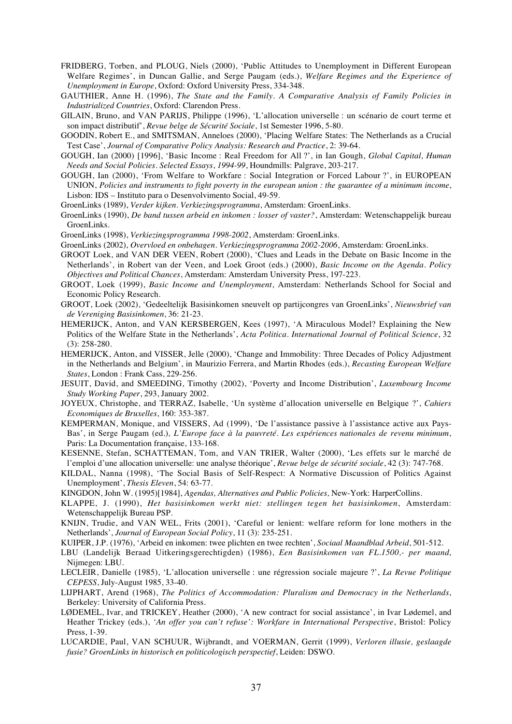- FRIDBERG, Torben, and PLOUG, Niels (2000), 'Public Attitudes to Unemployment in Different European Welfare Regimes', in Duncan Gallie, and Serge Paugam (eds.), *Welfare Regimes and the Experience of Unemployment in Europe*, Oxford: Oxford University Press, 334-348.
- GAUTHIER, Anne H. (1996), *The State and the Family. A Comparative Analysis of Family Policies in Industrialized Countries*, Oxford: Clarendon Press.
- GILAIN, Bruno, and VAN PARIJS, Philippe (1996), 'L'allocation universelle : un scénario de court terme et son impact distributif', *Revue belge de Sécurité Sociale*, 1st Semester 1996, 5-80.
- GOODIN, Robert E., and SMITSMAN, Anneloes (2000), 'Placing Welfare States: The Netherlands as a Crucial Test Case', *Journal of Comparative Policy Analysis: Research and Practice*, 2: 39-64.
- GOUGH, Ian (2000) [1996], 'Basic Income : Real Freedom for All ?', in Ian Gough, *Global Capital, Human Needs and Social Policies. Selected Essays*, *1994-99*, Houndmills: Palgrave, 203-217.
- GOUGH, Ian (2000), 'From Welfare to Workfare : Social Integration or Forced Labour ?', in EUROPEAN UNION, *Policies and instruments to fight poverty in the european union : the guarantee of a minimum income*, Lisbon: IDS – Instituto para o Desenvolvimento Social, 49-59.
- GroenLinks (1989), *Verder kijken. Verkiezingsprogramma*, Amsterdam: GroenLinks.
- GroenLinks (1990), *De band tussen arbeid en inkomen : losser of vaster?*, Amsterdam: Wetenschappelijk bureau GroenLinks.
- GroenLinks (1998), *Verkiezingsprogramma 1998-2002*, Amsterdam: GroenLinks.
- GroenLinks (2002), *Overvloed en onbehagen. Verkiezingsprogramma 2002-2006*, Amsterdam: GroenLinks.
- GROOT Loek, and VAN DER VEEN, Robert (2000), 'Clues and Leads in the Debate on Basic Income in the Netherlands', in Robert van der Veen, and Loek Groot (eds.) (2000), *Basic Income on the Agenda. Policy Objectives and Political Chances*, Amsterdam: Amsterdam University Press, 197-223.
- GROOT, Loek (1999), *Basic Income and Unemployment*, Amsterdam: Netherlands School for Social and Economic Policy Research.
- GROOT, Loek (2002), 'Gedeeltelijk Basisinkomen sneuvelt op partijcongres van GroenLinks', *Nieuwsbrief van de Vereniging Basisinkomen*, 36: 21-23.
- HEMERIJCK, Anton, and VAN KERSBERGEN, Kees (1997), 'A Miraculous Model? Explaining the New Politics of the Welfare State in the Netherlands', *Acta Politica. International Journal of Political Science*, 32 (3): 258-280.
- HEMERIJCK, Anton, and VISSER, Jelle (2000), 'Change and Immobility: Three Decades of Policy Adjustment in the Netherlands and Belgium', in Maurizio Ferrera, and Martin Rhodes (eds.), *Recasting European Welfare States*, London : Frank Cass, 229-256.
- JESUIT, David, and SMEEDING, Timothy (2002), 'Poverty and Income Distribution', *Luxembourg Income Study Working Paper*, 293, January 2002.
- JOYEUX, Christophe, and TERRAZ, Isabelle, 'Un système d'allocation universelle en Belgique ?', *Cahiers Economiques de Bruxelles*, 160: 353-387.
- KEMPERMAN, Monique, and VISSERS, Ad (1999), 'De l'assistance passive à l'assistance active aux Pays-Bas', in Serge Paugam (ed.)*, L'Europe face à la pauvreté. Les expériences nationales de revenu minimum*, Paris: La Documentation française, 133-168.
- KESENNE, Stefan, SCHATTEMAN, Tom, and VAN TRIER, Walter (2000), 'Les effets sur le marché de l'emploi d'une allocation universelle: une analyse théorique', *Revue belge de sécurité sociale*, 42 (3): 747-768.
- KILDAL, Nanna (1998), 'The Social Basis of Self-Respect: A Normative Discussion of Politics Against Unemployment', *Thesis Eleven*, 54: 63-77.
- KINGDON, John W. (1995)[1984], *Agendas, Alternatives and Public Policies,* New-York: HarperCollins.
- KLAPPE, J. (1990), *Het basisinkomen werkt niet: stellingen tegen het basisinkomen*, Amsterdam: Wetenschappelijk Bureau PSP.
- KNIJN, Trudie, and VAN WEL, Frits (2001), 'Careful or lenient: welfare reform for lone mothers in the Netherlands', *Journal of European Social Policy*, 11 (3): 235-251.
- KUIPER, J.P. (1976), 'Arbeid en inkomen: twee plichten en twee rechten', *Sociaal Maandblad Arbeid*, 501-512.
- LBU (Landelijk Beraad Uitkeringsgerechtigden) (1986), *Een Basisinkomen van FL.1500,- per maand*, Nijmegen: LBU.
- LECLEIR, Danielle (1985), 'L'allocation universelle : une régression sociale majeure ?', *La Revue Politique CEPESS*, July-August 1985, 33-40.
- LIJPHART, Arend (1968), *The Politics of Accommodation: Pluralism and Democracy in the Netherlands*, Berkeley: University of California Press.
- LØDEMEL, Ivar, and TRICKEY, Heather (2000), 'A new contract for social assistance', in Ivar Lødemel, and Heather Trickey (eds.), *'An offer you can't refuse': Workfare in International Perspective*, Bristol: Policy Press, 1-39.
- LUCARDIE, Paul, VAN SCHUUR, Wijbrandt, and VOERMAN, Gerrit (1999), *Verloren illusie, geslaagde fusie? GroenLinks in historisch en politicologisch perspectief*, Leiden: DSWO.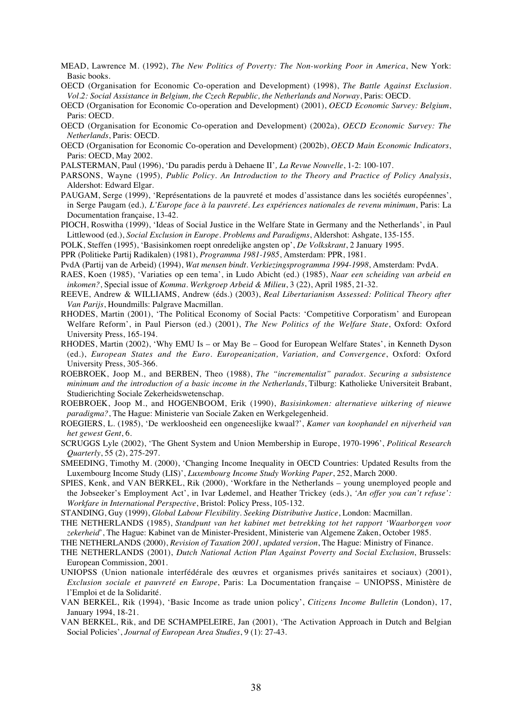- MEAD, Lawrence M. (1992), *The New Politics of Poverty: The Non-working Poor in America*, New York: Basic books.
- OECD (Organisation for Economic Co-operation and Development) (1998), *The Battle Against Exclusion. Vol.2: Social Assistance in Belgium, the Czech Republic, the Netherlands and Norway*, Paris: OECD.
- OECD (Organisation for Economic Co-operation and Development) (2001), *OECD Economic Survey: Belgium*, Paris: OECD.
- OECD (Organisation for Economic Co-operation and Development) (2002a), *OECD Economic Survey: The Netherlands*, Paris: OECD.
- OECD (Organisation for Economic Co-operation and Development) (2002b), *OECD Main Economic Indicators*, Paris: OECD, May 2002.
- PALSTERMAN, Paul (1996), 'Du paradis perdu à Dehaene II'*, La Revue Nouvelle*, 1-2: 100-107.
- PARSONS, Wayne (1995)*, Public Policy. An Introduction to the Theory and Practice of Policy Analysis*, Aldershot: Edward Elgar.
- PAUGAM, Serge (1999), 'Représentations de la pauvreté et modes d'assistance dans les sociétés européennes', in Serge Paugam (ed.)*, L'Europe face à la pauvreté. Les expériences nationales de revenu minimum*, Paris: La Documentation française, 13-42.
- PIOCH, Roswitha (1999), 'Ideas of Social Justice in the Welfare State in Germany and the Netherlands', in Paul Littlewood (ed.), *Social Exclusion in Europe. Problems and Paradigms*, Aldershot: Ashgate, 135-155.
- POLK, Steffen (1995), 'Basisinkomen roept onredelijke angsten op', *De Volkskrant*, 2 January 1995.
- PPR (Politieke Partij Radikalen) (1981), *Programma 1981-1985*, Amsterdam: PPR, 1981.
- PvdA (Partij van de Arbeid) (1994), *Wat mensen bindt. Verkiezingsprogramma 1994-1998*, Amsterdam: PvdA.
- RAES, Koen (1985), 'Variaties op een tema', in Ludo Abicht (ed.) (1985), *Naar een scheiding van arbeid en inkomen?*, Special issue of *Komma. Werkgroep Arbeid & Milieu*, 3 (22), April 1985, 21-32.
- REEVE, Andrew & WILLIAMS, Andrew (éds.) (2003), *Real Libertarianism Assessed: Political Theory after Van Parijs*, Houndmills: Palgrave Macmillan.
- RHODES, Martin (2001), 'The Political Economy of Social Pacts: 'Competitive Corporatism' and European Welfare Reform', in Paul Pierson (ed.) (2001), *The New Politics of the Welfare State*, Oxford: Oxford University Press, 165-194.
- RHODES, Martin (2002), 'Why EMU Is or May Be Good for European Welfare States', in Kenneth Dyson (ed.), *European States and the Euro. Europeanization, Variation, and Convergence*, Oxford: Oxford University Press, 305-366.
- ROEBROEK, Joop M., and BERBEN, Theo (1988), *The "incrementalist" paradox. Securing a subsistence minimum and the introduction of a basic income in the Netherlands*, Tilburg: Katholieke Universiteit Brabant, Studierichting Sociale Zekerheidswetenschap.
- ROEBROEK, Joop M., and HOGENBOOM, Erik (1990), *Basisinkomen: alternatieve uitkering of nieuwe paradigma?*, The Hague: Ministerie van Sociale Zaken en Werkgelegenheid.
- ROEGIERS, L. (1985), 'De werkloosheid een ongeneeslijke kwaal?', *Kamer van koophandel en nijverheid van het gewest Gent*, 6.
- SCRUGGS Lyle (2002), 'The Ghent System and Union Membership in Europe, 1970-1996', *Political Research Quarterly*, 55 (2), 275-297.
- SMEEDING, Timothy M. (2000), 'Changing Income Inequality in OECD Countries: Updated Results from the Luxembourg Income Study (LIS)', *Luxembourg Income Study Working Paper*, 252, March 2000.
- SPIES, Kenk, and VAN BERKEL, Rik (2000), 'Workfare in the Netherlands young unemployed people and the Jobseeker's Employment Act', in Ivar Lødemel, and Heather Trickey (eds.), *'An offer you can't refuse': Workfare in International Perspective*, Bristol: Policy Press, 105-132.
- STANDING, Guy (1999), *Global Labour Flexibility. Seeking Distributive Justice*, London: Macmillan.
- THE NETHERLANDS (1985), *Standpunt van het kabinet met betrekking tot het rapport 'Waarborgen voor zekerheid*', The Hague: Kabinet van de Minister-President, Ministerie van Algemene Zaken, October 1985.
- THE NETHERLANDS (2000), *Revision of Taxation 2001, updated version*, The Hague: Ministry of Finance.
- THE NETHERLANDS (2001), *Dutch National Action Plan Against Poverty and Social Exclusion*, Brussels: European Commission, 2001.
- UNIOPSS (Union nationale interfédérale des œuvres et organismes privés sanitaires et sociaux) (2001), *Exclusion sociale et pauvreté en Europe*, Paris: La Documentation française – UNIOPSS, Ministère de l'Emploi et de la Solidarité.
- VAN BERKEL, Rik (1994), 'Basic Income as trade union policy', *Citizens Income Bulletin* (London), 17, January 1994, 18-21.
- VAN BERKEL, Rik, and DE SCHAMPELEIRE, Jan (2001), 'The Activation Approach in Dutch and Belgian Social Policies', *Journal of European Area Studies*, 9 (1): 27-43.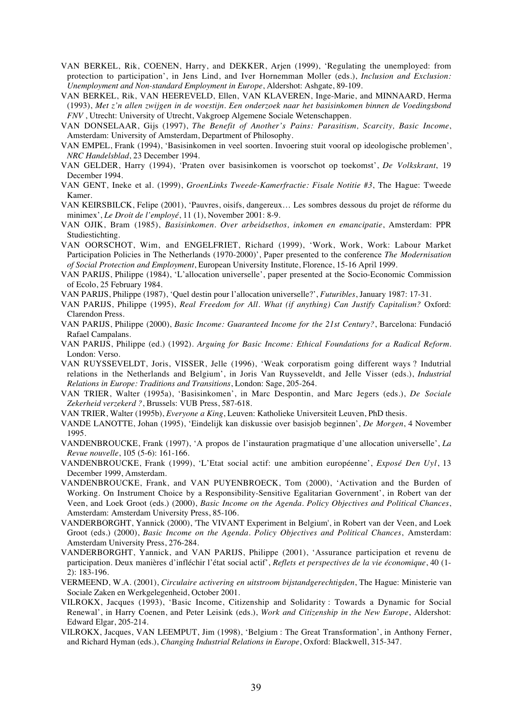- VAN BERKEL, Rik, COENEN, Harry, and DEKKER, Arjen (1999), 'Regulating the unemployed: from protection to participation', in Jens Lind, and Iver Hornemman Moller (eds.), *Inclusion and Exclusion: Unemployment and Non-standard Employment in Europe*, Aldershot: Ashgate, 89-109.
- VAN BERKEL, Rik, VAN HEEREVELD, Ellen, VAN KLAVEREN, Inge-Marie, and MINNAARD, Herma (1993), *Met z'n allen zwijgen in de woestijn. Een onderzoek naar het basisinkomen binnen de Voedingsbond FNV* , Utrecht: University of Utrecht, Vakgroep Algemene Sociale Wetenschappen.
- VAN DONSELAAR, Gijs (1997), *The Benefit of Another's Pains: Parasitism, Scarcity, Basic Income*, Amsterdam: University of Amsterdam, Department of Philosophy.
- VAN EMPEL, Frank (1994), 'Basisinkomen in veel soorten. Invoering stuit vooral op ideologische problemen', *NRC Handelsblad*, 23 December 1994.
- VAN GELDER, Harry (1994), 'Praten over basisinkomen is voorschot op toekomst', *De Volkskrant*, 19 December 1994.
- VAN GENT, Ineke et al. (1999), *GroenLinks Tweede-Kamerfractie: Fisale Notitie #3*, The Hague: Tweede Kamer.
- VAN KEIRSBILCK, Felipe (2001), 'Pauvres, oisifs, dangereux… Les sombres dessous du projet de réforme du minimex', *Le Droit de l'employé*, 11 (1), November 2001: 8-9.
- VAN OJIK, Bram (1985), *Basisinkomen. Over arbeidsethos, inkomen en emancipatie*, Amsterdam: PPR Studiestichting.
- VAN OORSCHOT, Wim, and ENGELFRIET, Richard (1999), 'Work, Work, Work: Labour Market Participation Policies in The Netherlands (1970-2000)', Paper presented to the conference *The Modernisation of Social Protection and Employment*, European University Institute, Florence, 15-16 April 1999.
- VAN PARIJS, Philippe (1984), 'L'allocation universelle', paper presented at the Socio-Economic Commission of Ecolo, 25 February 1984.

VAN PARIJS, Philippe (1987), 'Quel destin pour l'allocation universelle?', *Futuribles*, January 1987: 17-31.

- VAN PARIJS, Philippe (1995), *Real Freedom for All. What (if anything) Can Justify Capitalism?* Oxford: Clarendon Press.
- VAN PARIJS, Philippe (2000), *Basic Income: Guaranteed Income for the 21st Century?*, Barcelona: Fundació Rafael Campalans.
- VAN PARIJS, Philippe (ed.) (1992). *Arguing for Basic Income: Ethical Foundations for a Radical Reform*. London: Verso.
- VAN RUYSSEVELDT, Joris, VISSER, Jelle (1996), 'Weak corporatism going different ways ? Indutrial relations in the Netherlands and Belgium', in Joris Van Ruysseveldt, and Jelle Visser (eds.), *Industrial Relations in Europe: Traditions and Transitions*, London: Sage, 205-264.
- VAN TRIER, Walter (1995a), 'Basisinkomen', in Marc Despontin, and Marc Jegers (eds.), *De Sociale Zekerheid verzekerd ?*, Brussels: VUB Press, 587-618.
- VAN TRIER, Walter (1995b), *Everyone a King*, Leuven: Katholieke Universiteit Leuven, PhD thesis.
- VANDE LANOTTE, Johan (1995), 'Eindelijk kan diskussie over basisjob beginnen', *De Morgen*, 4 November 1995.
- VANDENBROUCKE, Frank (1997), 'A propos de l'instauration pragmatique d'une allocation universelle', *La Revue nouvelle*, 105 (5-6): 161-166.
- VANDENBROUCKE, Frank (1999), 'L'Etat social actif: une ambition européenne', *Exposé Den Uyl*, 13 December 1999, Amsterdam.
- VANDENBROUCKE, Frank, and VAN PUYENBROECK, Tom (2000), 'Activation and the Burden of Working. On Instrument Choice by a Responsibility-Sensitive Egalitarian Government', in Robert van der Veen, and Loek Groot (eds.) (2000), *Basic Income on the Agenda. Policy Objectives and Political Chances*, Amsterdam: Amsterdam University Press, 85-106.
- VANDERBORGHT, Yannick (2000), 'The VIVANT Experiment in Belgium', in Robert van der Veen, and Loek Groot (eds.) (2000), *Basic Income on the Agenda. Policy Objectives and Political Chances*, Amsterdam: Amsterdam University Press, 276-284.
- VANDERBORGHT, Yannick, and VAN PARIJS, Philippe (2001), 'Assurance participation et revenu de participation. Deux manières d'infléchir l'état social actif', *Reflets et perspectives de la vie économique*, 40 (1- 2): 183-196.
- VERMEEND, W.A. (2001), *Circulaire activering en uitstroom bijstandgerechtigden*, The Hague: Ministerie van Sociale Zaken en Werkgelegenheid, October 2001.
- VILROKX, Jacques (1993), 'Basic Income, Citizenship and Solidarity : Towards a Dynamic for Social Renewal', in Harry Coenen, and Peter Leisink (eds.), *Work and Citizenship in the New Europe*, Aldershot: Edward Elgar, 205-214.
- VILROKX, Jacques, VAN LEEMPUT, Jim (1998), 'Belgium : The Great Transformation', in Anthony Ferner, and Richard Hyman (eds.), *Changing Industrial Relations in Europe*, Oxford: Blackwell, 315-347.